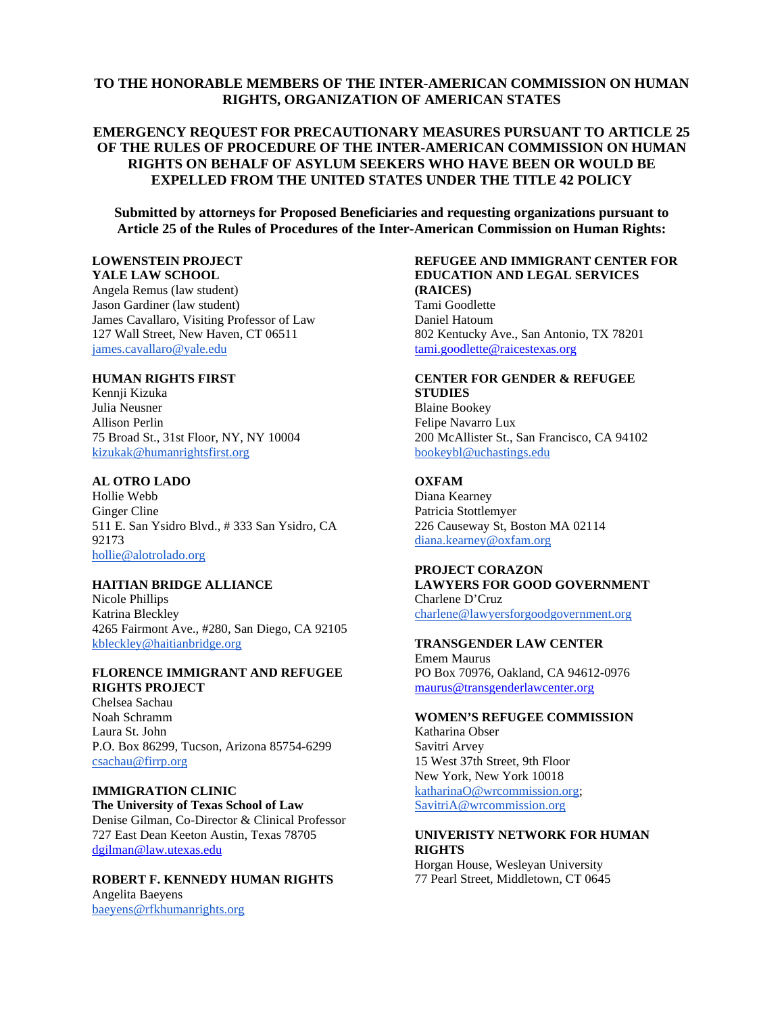### **TO THE HONORABLE MEMBERS OF THE INTER-AMERICAN COMMISSION ON HUMAN RIGHTS, ORGANIZATION OF AMERICAN STATES**

### **EMERGENCY REQUEST FOR PRECAUTIONARY MEASURES PURSUANT TO ARTICLE 25 OF THE RULES OF PROCEDURE OF THE INTER-AMERICAN COMMISSION ON HUMAN RIGHTS ON BEHALF OF ASYLUM SEEKERS WHO HAVE BEEN OR WOULD BE EXPELLED FROM THE UNITED STATES UNDER THE TITLE 42 POLICY**

**Submitted by attorneys for Proposed Beneficiaries and requesting organizations pursuant to Article 25 of the Rules of Procedures of the Inter-American Commission on Human Rights:** 

#### **LOWENSTEIN PROJECT YALE LAW SCHOOL**

Angela Remus (law student) Jason Gardiner (law student) James Cavallaro, Visiting Professor of Law 127 Wall Street, New Haven, CT 06511 [james.cavallaro@yale.edu](mailto:james.cavallaro@yale.edu)

#### **HUMAN RIGHTS FIRST**

Kennji Kizuka Julia Neusner Allison Perlin 75 Broad St., 31st Floor, NY, NY 10004 [kizukak@humanrightsfirst.org](mailto:kizukak@humanrightsfirst.org)

#### **AL OTRO LADO**

Hollie Webb Ginger Cline 511 E. San Ysidro Blvd., # 333 San Ysidro, CA 92173 [hollie@alotrolado.org](mailto:hollie@alotrolado.org)

#### **HAITIAN BRIDGE ALLIANCE**

Nicole Phillips Katrina Bleckley 4265 Fairmont Ave., #280, San Diego, CA 92105 [kbleckley@haitianbridge.org](mailto:kbleckley@haitianbridge.org)

#### **FLORENCE IMMIGRANT AND REFUGEE RIGHTS PROJECT**

Chelsea Sachau Noah Schramm Laura St. John P.O. Box 86299, Tucson, Arizona 85754-6299 [csachau@firrp.org](mailto:csachau@firrp.org)

#### **IMMIGRATION CLINIC The University of Texas School of Law** Denise Gilman, Co-Director & Clinical Professor 727 East Dean Keeton Austin, Texas 78705 [dgilman@law.utexas.edu](mailto:dgilman@law.utexas.edu)

#### **ROBERT F. KENNEDY HUMAN RIGHTS** Angelita Baeyens

[baeyens@rfkhumanrights.org](mailto:baeyens@rfkhumanrights.org)

#### **REFUGEE AND IMMIGRANT CENTER FOR EDUCATION AND LEGAL SERVICES (RAICES)** Tami Goodlette Daniel Hatoum

802 Kentucky Ave., San Antonio, TX 78201 [tami.goodlette@raicestexas.org](mailto:tami.goodlette@raicestexas.org)

#### **CENTER FOR GENDER & REFUGEE STUDIES** Blaine Bookey

Felipe Navarro Lux 200 McAllister St., San Francisco, CA 94102 [bookeybl@uchastings.edu](mailto:bookeybl@uchastings.edu)

### **OXFAM**

Diana Kearney Patricia Stottlemyer 226 Causeway St, Boston MA 02114 [diana.kearney@oxfam.org](mailto:diana.kearney@oxfam.org)

#### **PROJECT CORAZON LAWYERS FOR GOOD GOVERNMENT** Charlene D'Cruz

[charlene@lawyersforgoodgovernment.org](mailto:charlene@lawyersforgoodgovernment.org)

#### **TRANSGENDER LAW CENTER**

Emem Maurus PO Box 70976, Oakland, CA 94612-0976 [maurus@transgenderlawcenter.org](mailto:maurus@transgenderlawcenter.org)

#### **WOMEN'S REFUGEE COMMISSION**

Katharina Obser Savitri Arvey 15 West 37th Street, 9th Floor New York, New York 10018 [katharinaO@wrcommission.org;](mailto:katarinaO@wrcommission.org) [SavitriA@wrcommission.org](mailto:SavitriA@wrcommission.org)

#### **UNIVERISTY NETWORK FOR HUMAN RIGHTS**

Horgan House, Wesleyan University 77 Pearl Street, Middletown, CT 0645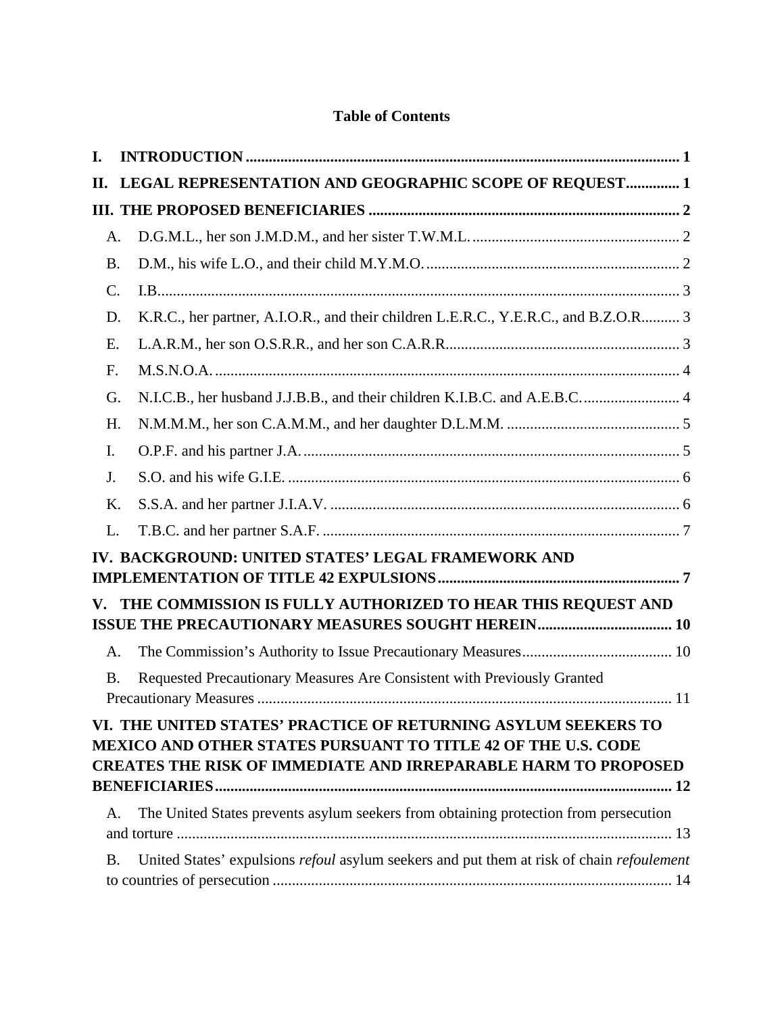# **Table of Contents**

| I. |           |                                                                                                                                                                                                                 |  |
|----|-----------|-----------------------------------------------------------------------------------------------------------------------------------------------------------------------------------------------------------------|--|
| П. |           | LEGAL REPRESENTATION AND GEOGRAPHIC SCOPE OF REQUEST 1                                                                                                                                                          |  |
|    |           |                                                                                                                                                                                                                 |  |
|    | A.        |                                                                                                                                                                                                                 |  |
|    | <b>B.</b> |                                                                                                                                                                                                                 |  |
| C. |           |                                                                                                                                                                                                                 |  |
|    | D.        | K.R.C., her partner, A.I.O.R., and their children L.E.R.C., Y.E.R.C., and B.Z.O.R 3                                                                                                                             |  |
| E. |           |                                                                                                                                                                                                                 |  |
| F. |           |                                                                                                                                                                                                                 |  |
|    | G.        | N.I.C.B., her husband J.J.B.B., and their children K.I.B.C. and A.E.B.C.  4                                                                                                                                     |  |
|    | H.        |                                                                                                                                                                                                                 |  |
| I. |           |                                                                                                                                                                                                                 |  |
| J. |           |                                                                                                                                                                                                                 |  |
|    | Κ.        |                                                                                                                                                                                                                 |  |
| L. |           |                                                                                                                                                                                                                 |  |
|    |           | IV. BACKGROUND: UNITED STATES' LEGAL FRAMEWORK AND                                                                                                                                                              |  |
| V. |           | THE COMMISSION IS FULLY AUTHORIZED TO HEAR THIS REQUEST AND                                                                                                                                                     |  |
|    | A.        |                                                                                                                                                                                                                 |  |
|    | <b>B.</b> | Requested Precautionary Measures Are Consistent with Previously Granted                                                                                                                                         |  |
|    |           | VI. THE UNITED STATES' PRACTICE OF RETURNING ASYLUM SEEKERS TO<br><b>MEXICO AND OTHER STATES PURSUANT TO TITLE 42 OF THE U.S. CODE</b><br><b>CREATES THE RISK OF IMMEDIATE AND IRREPARABLE HARM TO PROPOSED</b> |  |
|    | A.        | The United States prevents asylum seekers from obtaining protection from persecution                                                                                                                            |  |
|    | <b>B.</b> | United States' expulsions refoul asylum seekers and put them at risk of chain refoulement                                                                                                                       |  |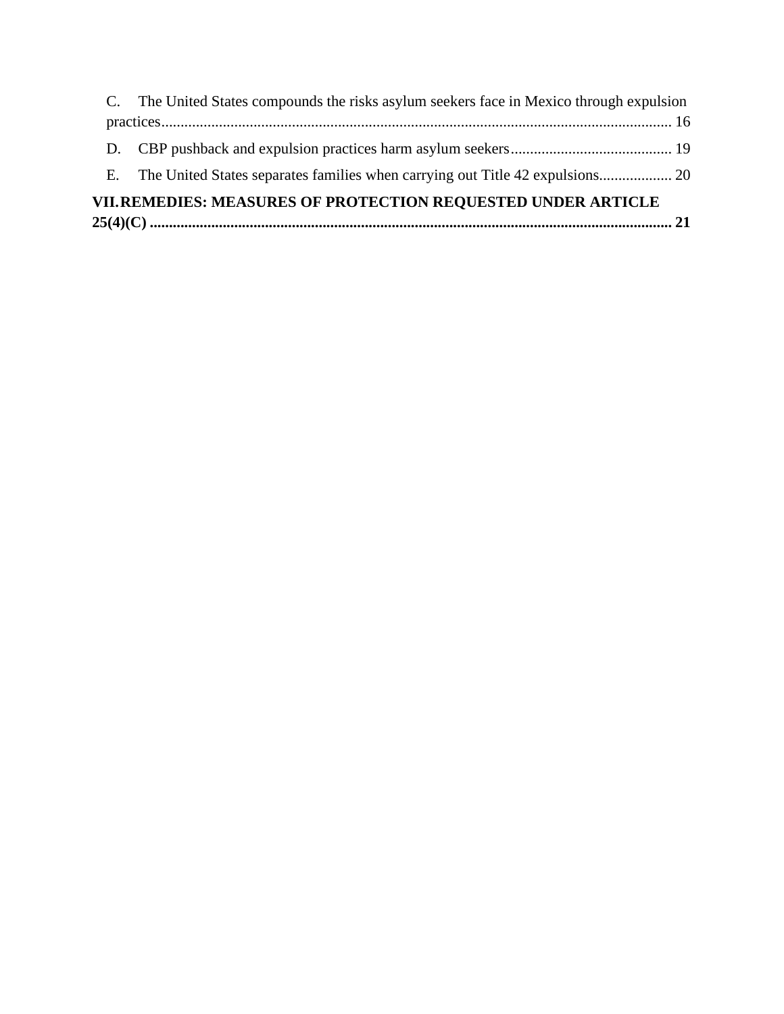| VII.REMEDIES: MEASURES OF PROTECTION REQUESTED UNDER ARTICLE |                                                                                          |  |  |  |  |
|--------------------------------------------------------------|------------------------------------------------------------------------------------------|--|--|--|--|
| E.                                                           |                                                                                          |  |  |  |  |
|                                                              |                                                                                          |  |  |  |  |
|                                                              |                                                                                          |  |  |  |  |
|                                                              | C. The United States compounds the risks asylum seekers face in Mexico through expulsion |  |  |  |  |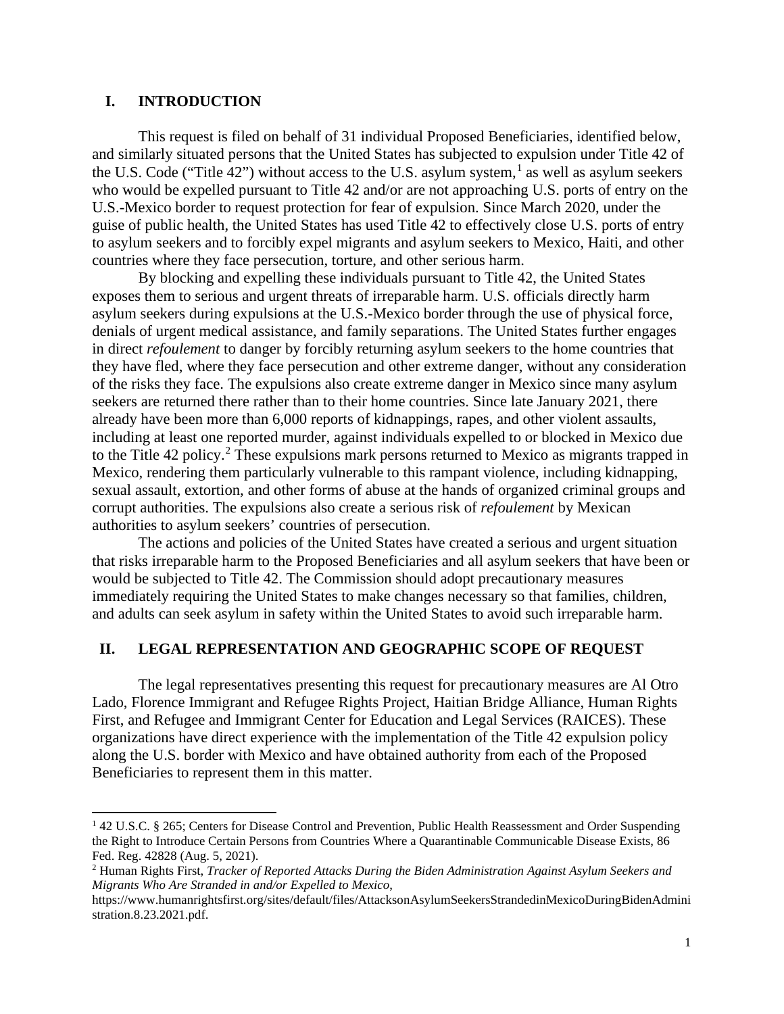## <span id="page-3-0"></span>**I. INTRODUCTION**

This request is filed on behalf of 31 individual Proposed Beneficiaries, identified below, and similarly situated persons that the United States has subjected to expulsion under Title 42 of the U.S. Code ("Title 42") without access to the U.S. asylum system, $<sup>1</sup>$  $<sup>1</sup>$  $<sup>1</sup>$  as well as asylum seekers</sup> who would be expelled pursuant to Title 42 and/or are not approaching U.S. ports of entry on the U.S.-Mexico border to request protection for fear of expulsion. Since March 2020, under the guise of public health, the United States has used Title 42 to effectively close U.S. ports of entry to asylum seekers and to forcibly expel migrants and asylum seekers to Mexico, Haiti, and other countries where they face persecution, torture, and other serious harm.

By blocking and expelling these individuals pursuant to Title 42, the United States exposes them to serious and urgent threats of irreparable harm. U.S. officials directly harm asylum seekers during expulsions at the U.S.-Mexico border through the use of physical force, denials of urgent medical assistance, and family separations. The United States further engages in direct *refoulement* to danger by forcibly returning asylum seekers to the home countries that they have fled, where they face persecution and other extreme danger, without any consideration of the risks they face. The expulsions also create extreme danger in Mexico since many asylum seekers are returned there rather than to their home countries. Since late January 2021, there already have been more than 6,000 reports of kidnappings, rapes, and other violent assaults, including at least one reported murder, against individuals expelled to or blocked in Mexico due to the Title 4[2](#page-3-3) policy.<sup>2</sup> These expulsions mark persons returned to Mexico as migrants trapped in Mexico, rendering them particularly vulnerable to this rampant violence, including kidnapping, sexual assault, extortion, and other forms of abuse at the hands of organized criminal groups and corrupt authorities. The expulsions also create a serious risk of *refoulement* by Mexican authorities to asylum seekers' countries of persecution.

The actions and policies of the United States have created a serious and urgent situation that risks irreparable harm to the Proposed Beneficiaries and all asylum seekers that have been or would be subjected to Title 42. The Commission should adopt precautionary measures immediately requiring the United States to make changes necessary so that families, children, and adults can seek asylum in safety within the United States to avoid such irreparable harm.

### <span id="page-3-1"></span>**II. LEGAL REPRESENTATION AND GEOGRAPHIC SCOPE OF REQUEST**

The legal representatives presenting this request for precautionary measures are Al Otro Lado, Florence Immigrant and Refugee Rights Project, Haitian Bridge Alliance, Human Rights First, and Refugee and Immigrant Center for Education and Legal Services (RAICES). These organizations have direct experience with the implementation of the Title 42 expulsion policy along the U.S. border with Mexico and have obtained authority from each of the Proposed Beneficiaries to represent them in this matter.

<span id="page-3-2"></span><sup>1</sup> 42 U.S.C. § 265; Centers for Disease Control and Prevention, Public Health Reassessment and Order Suspending the Right to Introduce Certain Persons from Countries Where a Quarantinable Communicable Disease Exists, 86 Fed. Reg. 42828 (Aug. 5, 2021).

<span id="page-3-3"></span><sup>2</sup> Human Rights First, *Tracker of Reported Attacks During the Biden Administration Against Asylum Seekers and Migrants Who Are Stranded in and/or Expelled to Mexico*,

https://www.humanrightsfirst.org/sites/default/files/AttacksonAsylumSeekersStrandedinMexicoDuringBidenAdmini stration.8.23.2021.pdf.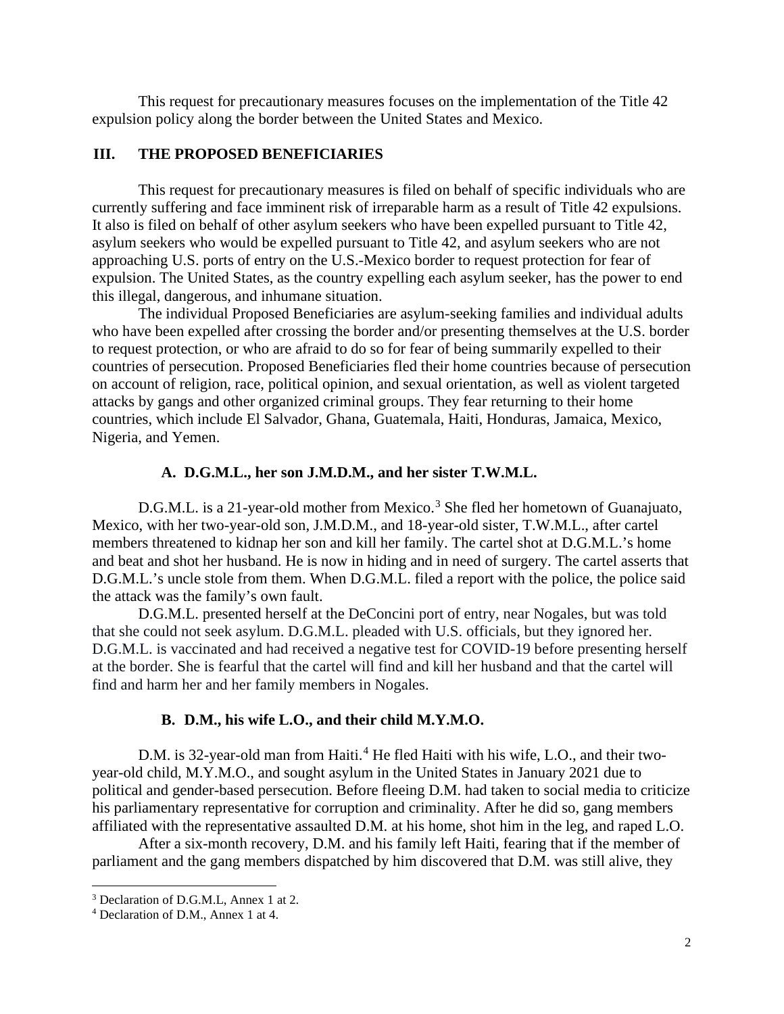This request for precautionary measures focuses on the implementation of the Title 42 expulsion policy along the border between the United States and Mexico.

### <span id="page-4-0"></span>**III. THE PROPOSED BENEFICIARIES**

This request for precautionary measures is filed on behalf of specific individuals who are currently suffering and face imminent risk of irreparable harm as a result of Title 42 expulsions. It also is filed on behalf of other asylum seekers who have been expelled pursuant to Title 42, asylum seekers who would be expelled pursuant to Title 42, and asylum seekers who are not approaching U.S. ports of entry on the U.S.-Mexico border to request protection for fear of expulsion. The United States, as the country expelling each asylum seeker, has the power to end this illegal, dangerous, and inhumane situation.

The individual Proposed Beneficiaries are asylum-seeking families and individual adults who have been expelled after crossing the border and/or presenting themselves at the U.S. border to request protection, or who are afraid to do so for fear of being summarily expelled to their countries of persecution. Proposed Beneficiaries fled their home countries because of persecution on account of religion, race, political opinion, and sexual orientation, as well as violent targeted attacks by gangs and other organized criminal groups. They fear returning to their home countries, which include El Salvador, Ghana, Guatemala, Haiti, Honduras, Jamaica, Mexico, Nigeria, and Yemen.

### **A. D.G.M.L., her son J.M.D.M., and her sister T.W.M.L.**

<span id="page-4-1"></span>D.G.M.L. is a 21-year-old mother from Mexico.<sup>[3](#page-4-3)</sup> She fled her hometown of Guanajuato, Mexico, with her two-year-old son, J.M.D.M., and 18-year-old sister, T.W.M.L., after cartel members threatened to kidnap her son and kill her family. The cartel shot at D.G.M.L.'s home and beat and shot her husband. He is now in hiding and in need of surgery. The cartel asserts that D.G.M.L.'s uncle stole from them. When D.G.M.L. filed a report with the police, the police said the attack was the family's own fault.

D.G.M.L. presented herself at the DeConcini port of entry, near Nogales, but was told that she could not seek asylum. D.G.M.L. pleaded with U.S. officials, but they ignored her. D.G.M.L. is vaccinated and had received a negative test for COVID-19 before presenting herself at the border. She is fearful that the cartel will find and kill her husband and that the cartel will find and harm her and her family members in Nogales.

#### **B. D.M., his wife L.O., and their child M.Y.M.O.**

<span id="page-4-2"></span>D.M. is 32-year-old man from Haiti.<sup>[4](#page-4-4)</sup> He fled Haiti with his wife, L.O., and their twoyear-old child, M.Y.M.O., and sought asylum in the United States in January 2021 due to political and gender-based persecution. Before fleeing D.M. had taken to social media to criticize his parliamentary representative for corruption and criminality. After he did so, gang members affiliated with the representative assaulted D.M. at his home, shot him in the leg, and raped L.O.

After a six-month recovery, D.M. and his family left Haiti, fearing that if the member of parliament and the gang members dispatched by him discovered that D.M. was still alive, they

<span id="page-4-3"></span><sup>3</sup> Declaration of D.G.M.L, Annex 1 at 2.

<span id="page-4-4"></span><sup>4</sup> Declaration of D.M., Annex 1 at 4.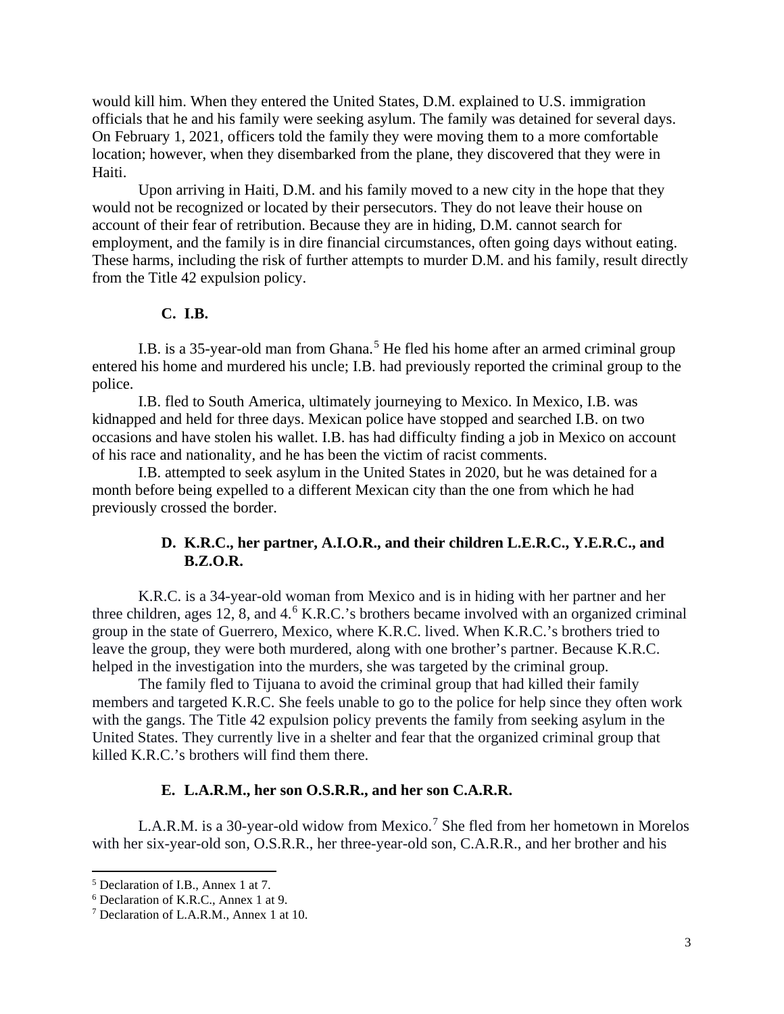would kill him. When they entered the United States, D.M. explained to U.S. immigration officials that he and his family were seeking asylum. The family was detained for several days. On February 1, 2021, officers told the family they were moving them to a more comfortable location; however, when they disembarked from the plane, they discovered that they were in Haiti.

Upon arriving in Haiti, D.M. and his family moved to a new city in the hope that they would not be recognized or located by their persecutors. They do not leave their house on account of their fear of retribution. Because they are in hiding, D.M. cannot search for employment, and the family is in dire financial circumstances, often going days without eating. These harms, including the risk of further attempts to murder D.M. and his family, result directly from the Title 42 expulsion policy.

## **C. I.B.**

<span id="page-5-0"></span>I.B. is a 3[5](#page-5-3)-year-old man from Ghana.<sup>5</sup> He fled his home after an armed criminal group entered his home and murdered his uncle; I.B. had previously reported the criminal group to the police.

I.B. fled to South America, ultimately journeying to Mexico. In Mexico, I.B. was kidnapped and held for three days. Mexican police have stopped and searched I.B. on two occasions and have stolen his wallet. I.B. has had difficulty finding a job in Mexico on account of his race and nationality, and he has been the victim of racist comments.

I.B. attempted to seek asylum in the United States in 2020, but he was detained for a month before being expelled to a different Mexican city than the one from which he had previously crossed the border.

## **D. K.R.C., her partner, A.I.O.R., and their children L.E.R.C., Y.E.R.C., and B.Z.O.R.**

<span id="page-5-1"></span>K.R.C. is a 34-year-old woman from Mexico and is in hiding with her partner and her three children, ages 12, 8, and 4. [6](#page-5-4) K.R.C.'s brothers became involved with an organized criminal group in the state of Guerrero, Mexico, where K.R.C. lived. When K.R.C.'s brothers tried to leave the group, they were both murdered, along with one brother's partner. Because K.R.C. helped in the investigation into the murders, she was targeted by the criminal group.

The family fled to Tijuana to avoid the criminal group that had killed their family members and targeted K.R.C. She feels unable to go to the police for help since they often work with the gangs. The Title 42 expulsion policy prevents the family from seeking asylum in the United States. They currently live in a shelter and fear that the organized criminal group that killed K.R.C.'s brothers will find them there.

#### **E. L.A.R.M., her son O.S.R.R., and her son C.A.R.R.**

<span id="page-5-2"></span>L.A.R.M. is a 30-year-old widow from Mexico.<sup>[7](#page-5-5)</sup> She fled from her hometown in Morelos with her six-year-old son, O.S.R.R., her three-year-old son, C.A.R.R., and her brother and his

<span id="page-5-3"></span><sup>5</sup> Declaration of I.B., Annex 1 at 7.

<span id="page-5-4"></span><sup>6</sup> Declaration of K.R.C., Annex 1 at 9.

<span id="page-5-5"></span><sup>7</sup> Declaration of L.A.R.M., Annex 1 at 10.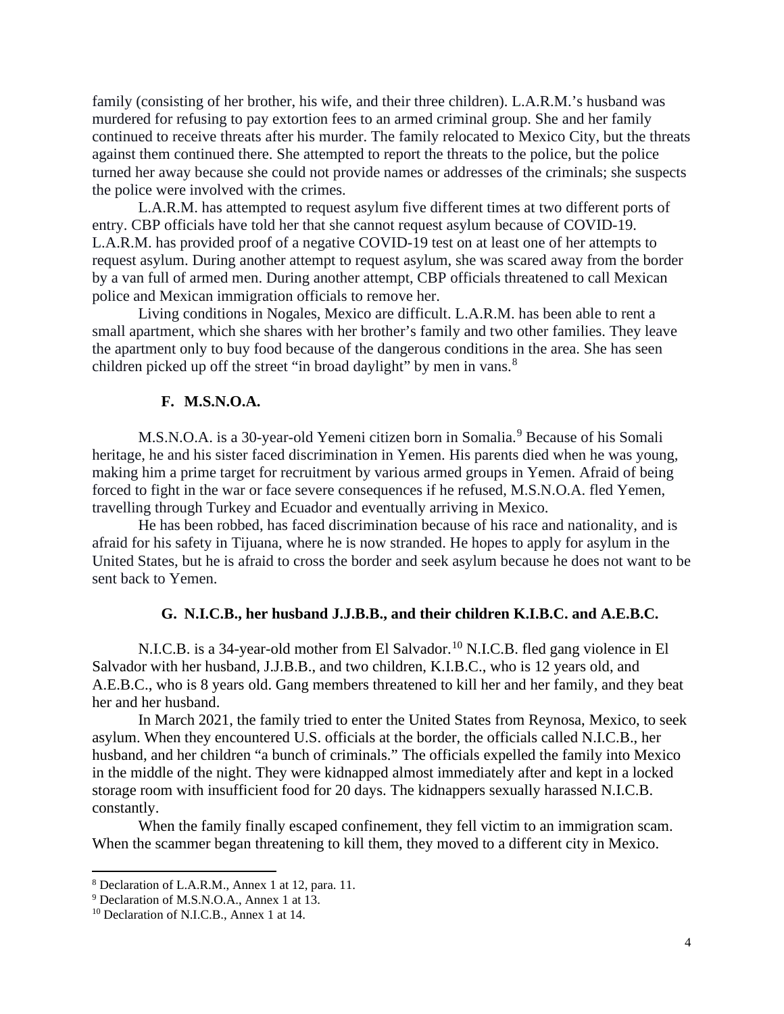family (consisting of her brother, his wife, and their three children). L.A.R.M.'s husband was murdered for refusing to pay extortion fees to an armed criminal group. She and her family continued to receive threats after his murder. The family relocated to Mexico City, but the threats against them continued there. She attempted to report the threats to the police, but the police turned her away because she could not provide names or addresses of the criminals; she suspects the police were involved with the crimes.

L.A.R.M. has attempted to request asylum five different times at two different ports of entry. CBP officials have told her that she cannot request asylum because of COVID-19. L.A.R.M. has provided proof of a negative COVID-19 test on at least one of her attempts to request asylum. During another attempt to request asylum, she was scared away from the border by a van full of armed men. During another attempt, CBP officials threatened to call Mexican police and Mexican immigration officials to remove her.

Living conditions in Nogales, Mexico are difficult. L.A.R.M. has been able to rent a small apartment, which she shares with her brother's family and two other families. They leave the apartment only to buy food because of the dangerous conditions in the area. She has seen children picked up off the street "in broad daylight" by men in vans.<sup>[8](#page-6-2)</sup>

### **F. M.S.N.O.A.**

<span id="page-6-0"></span>M.S.N.O.A. is a 30-year-old Yemeni citizen born in Somalia.<sup>[9](#page-6-3)</sup> Because of his Somali heritage, he and his sister faced discrimination in Yemen. His parents died when he was young, making him a prime target for recruitment by various armed groups in Yemen. Afraid of being forced to fight in the war or face severe consequences if he refused, M.S.N.O.A. fled Yemen, travelling through Turkey and Ecuador and eventually arriving in Mexico.

He has been robbed, has faced discrimination because of his race and nationality, and is afraid for his safety in Tijuana, where he is now stranded. He hopes to apply for asylum in the United States, but he is afraid to cross the border and seek asylum because he does not want to be sent back to Yemen.

### **G. N.I.C.B., her husband J.J.B.B., and their children K.I.B.C. and A.E.B.C.**

<span id="page-6-1"></span>N.I.C.B. is a 34-year-old mother from El Salvador.<sup>[10](#page-6-4)</sup> N.I.C.B. fled gang violence in El Salvador with her husband, J.J.B.B., and two children, K.I.B.C., who is 12 years old, and A.E.B.C., who is 8 years old. Gang members threatened to kill her and her family, and they beat her and her husband.

In March 2021, the family tried to enter the United States from Reynosa, Mexico, to seek asylum. When they encountered U.S. officials at the border, the officials called N.I.C.B., her husband, and her children "a bunch of criminals." The officials expelled the family into Mexico in the middle of the night. They were kidnapped almost immediately after and kept in a locked storage room with insufficient food for 20 days. The kidnappers sexually harassed N.I.C.B. constantly.

When the family finally escaped confinement, they fell victim to an immigration scam. When the scammer began threatening to kill them, they moved to a different city in Mexico.

<span id="page-6-2"></span><sup>8</sup> Declaration of L.A.R.M., Annex 1 at 12, para. 11.

<span id="page-6-3"></span><sup>9</sup> Declaration of M.S.N.O.A., Annex 1 at 13.

<span id="page-6-4"></span><sup>&</sup>lt;sup>10</sup> Declaration of N.I.C.B., Annex 1 at 14.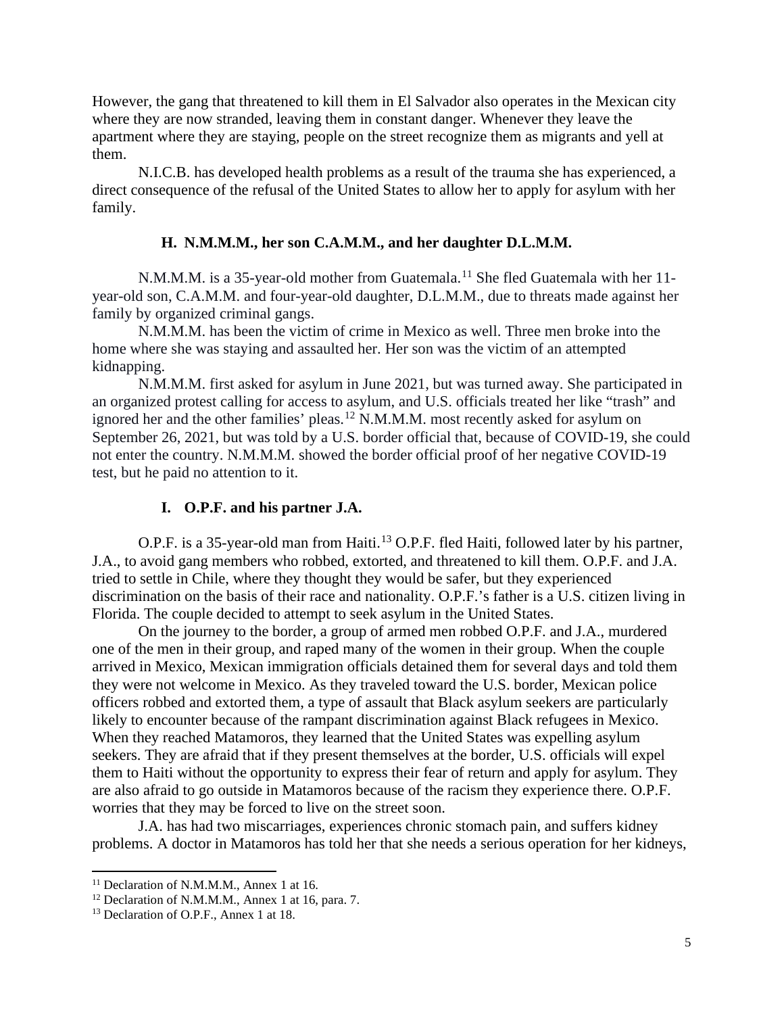However, the gang that threatened to kill them in El Salvador also operates in the Mexican city where they are now stranded, leaving them in constant danger. Whenever they leave the apartment where they are staying, people on the street recognize them as migrants and yell at them.

N.I.C.B. has developed health problems as a result of the trauma she has experienced, a direct consequence of the refusal of the United States to allow her to apply for asylum with her family.

## **H. N.M.M.M., her son C.A.M.M., and her daughter D.L.M.M.**

<span id="page-7-0"></span>N.M.M.M. is a 35-year-old mother from Guatemala.<sup>[11](#page-7-2)</sup> She fled Guatemala with her 11year-old son, C.A.M.M. and four-year-old daughter, D.L.M.M., due to threats made against her family by organized criminal gangs.

N.M.M.M. has been the victim of crime in Mexico as well. Three men broke into the home where she was staying and assaulted her. Her son was the victim of an attempted kidnapping.

N.M.M.M. first asked for asylum in June 2021, but was turned away. She participated in an organized protest calling for access to asylum, and U.S. officials treated her like "trash" and ignored her and the other families' pleas.<sup>[12](#page-7-3)</sup> N.M.M.M. most recently asked for asylum on September 26, 2021, but was told by a U.S. border official that, because of COVID-19, she could not enter the country. N.M.M.M. showed the border official proof of her negative COVID-19 test, but he paid no attention to it.

### **I. O.P.F. and his partner J.A.**

<span id="page-7-1"></span>O.P.F. is a 35-year-old man from Haiti.<sup>[13](#page-7-4)</sup> O.P.F. fled Haiti, followed later by his partner, J.A., to avoid gang members who robbed, extorted, and threatened to kill them. O.P.F. and J.A. tried to settle in Chile, where they thought they would be safer, but they experienced discrimination on the basis of their race and nationality. O.P.F.'s father is a U.S. citizen living in Florida. The couple decided to attempt to seek asylum in the United States.

On the journey to the border, a group of armed men robbed O.P.F. and J.A., murdered one of the men in their group, and raped many of the women in their group. When the couple arrived in Mexico, Mexican immigration officials detained them for several days and told them they were not welcome in Mexico. As they traveled toward the U.S. border, Mexican police officers robbed and extorted them, a type of assault that Black asylum seekers are particularly likely to encounter because of the rampant discrimination against Black refugees in Mexico. When they reached Matamoros, they learned that the United States was expelling asylum seekers. They are afraid that if they present themselves at the border, U.S. officials will expel them to Haiti without the opportunity to express their fear of return and apply for asylum. They are also afraid to go outside in Matamoros because of the racism they experience there. O.P.F. worries that they may be forced to live on the street soon.

J.A. has had two miscarriages, experiences chronic stomach pain, and suffers kidney problems. A doctor in Matamoros has told her that she needs a serious operation for her kidneys,

<span id="page-7-2"></span><sup>&</sup>lt;sup>11</sup> Declaration of N.M.M.M., Annex 1 at 16.

<span id="page-7-3"></span><sup>&</sup>lt;sup>12</sup> Declaration of N.M.M.M., Annex 1 at 16, para. 7.

<span id="page-7-4"></span><sup>&</sup>lt;sup>13</sup> Declaration of O.P.F., Annex 1 at 18.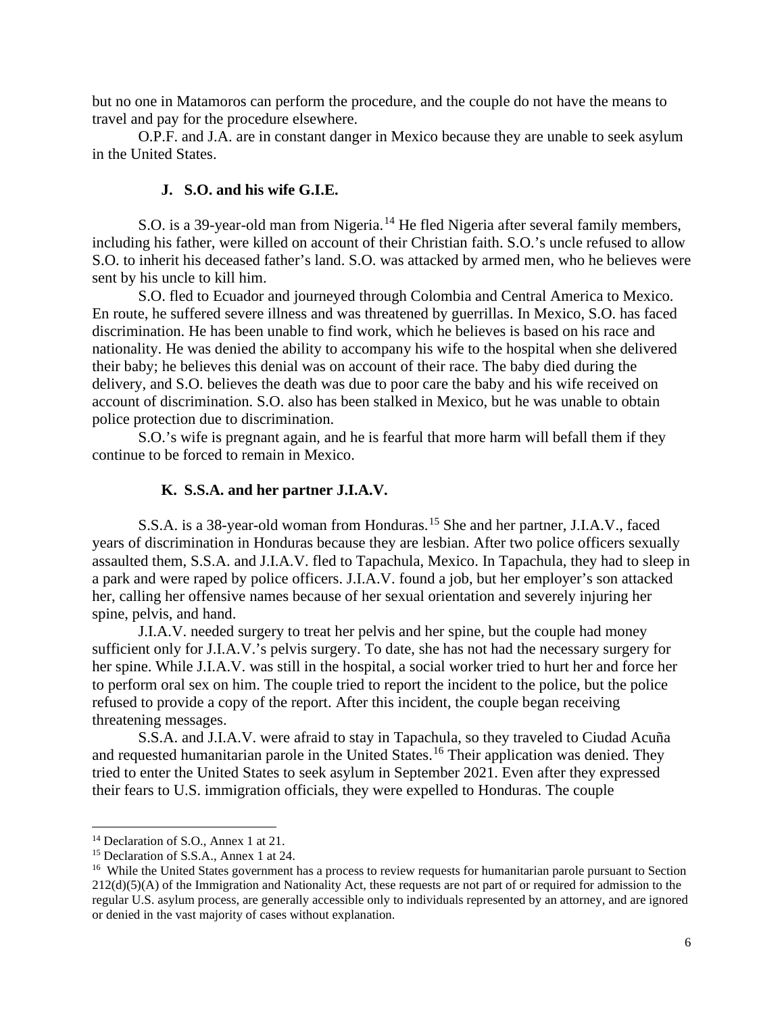but no one in Matamoros can perform the procedure, and the couple do not have the means to travel and pay for the procedure elsewhere.

O.P.F. and J.A. are in constant danger in Mexico because they are unable to seek asylum in the United States.

## **J. S.O. and his wife G.I.E.**

<span id="page-8-0"></span>S.O. is a 39-year-old man from Nigeria.<sup>[14](#page-8-2)</sup> He fled Nigeria after several family members, including his father, were killed on account of their Christian faith. S.O.'s uncle refused to allow S.O. to inherit his deceased father's land. S.O. was attacked by armed men, who he believes were sent by his uncle to kill him.

S.O. fled to Ecuador and journeyed through Colombia and Central America to Mexico. En route, he suffered severe illness and was threatened by guerrillas. In Mexico, S.O. has faced discrimination. He has been unable to find work, which he believes is based on his race and nationality. He was denied the ability to accompany his wife to the hospital when she delivered their baby; he believes this denial was on account of their race. The baby died during the delivery, and S.O. believes the death was due to poor care the baby and his wife received on account of discrimination. S.O. also has been stalked in Mexico, but he was unable to obtain police protection due to discrimination.

S.O.'s wife is pregnant again, and he is fearful that more harm will befall them if they continue to be forced to remain in Mexico.

### **K. S.S.A. and her partner J.I.A.V.**

<span id="page-8-1"></span>S.S.A. is a 38-year-old woman from Honduras. [15](#page-8-3) She and her partner, J.I.A.V., faced years of discrimination in Honduras because they are lesbian. After two police officers sexually assaulted them, S.S.A. and J.I.A.V. fled to Tapachula, Mexico. In Tapachula, they had to sleep in a park and were raped by police officers. J.I.A.V. found a job, but her employer's son attacked her, calling her offensive names because of her sexual orientation and severely injuring her spine, pelvis, and hand.

J.I.A.V. needed surgery to treat her pelvis and her spine, but the couple had money sufficient only for J.I.A.V.'s pelvis surgery. To date, she has not had the necessary surgery for her spine. While J.I.A.V. was still in the hospital, a social worker tried to hurt her and force her to perform oral sex on him. The couple tried to report the incident to the police, but the police refused to provide a copy of the report. After this incident, the couple began receiving threatening messages.

S.S.A. and J.I.A.V. were afraid to stay in Tapachula, so they traveled to Ciudad Acuña and requested humanitarian parole in the United States.<sup>[16](#page-8-4)</sup> Their application was denied. They tried to enter the United States to seek asylum in September 2021. Even after they expressed their fears to U.S. immigration officials, they were expelled to Honduras. The couple

<span id="page-8-2"></span><sup>&</sup>lt;sup>14</sup> Declaration of S.O., Annex 1 at 21.

<span id="page-8-3"></span><sup>&</sup>lt;sup>15</sup> Declaration of S.S.A., Annex 1 at 24.

<span id="page-8-4"></span><sup>&</sup>lt;sup>16</sup> While the United States government has a process to review requests for humanitarian parole pursuant to Section  $212(d)(5)(A)$  of the Immigration and Nationality Act, these requests are not part of or required for admission to the regular U.S. asylum process, are generally accessible only to individuals represented by an attorney, and are ignored or denied in the vast majority of cases without explanation.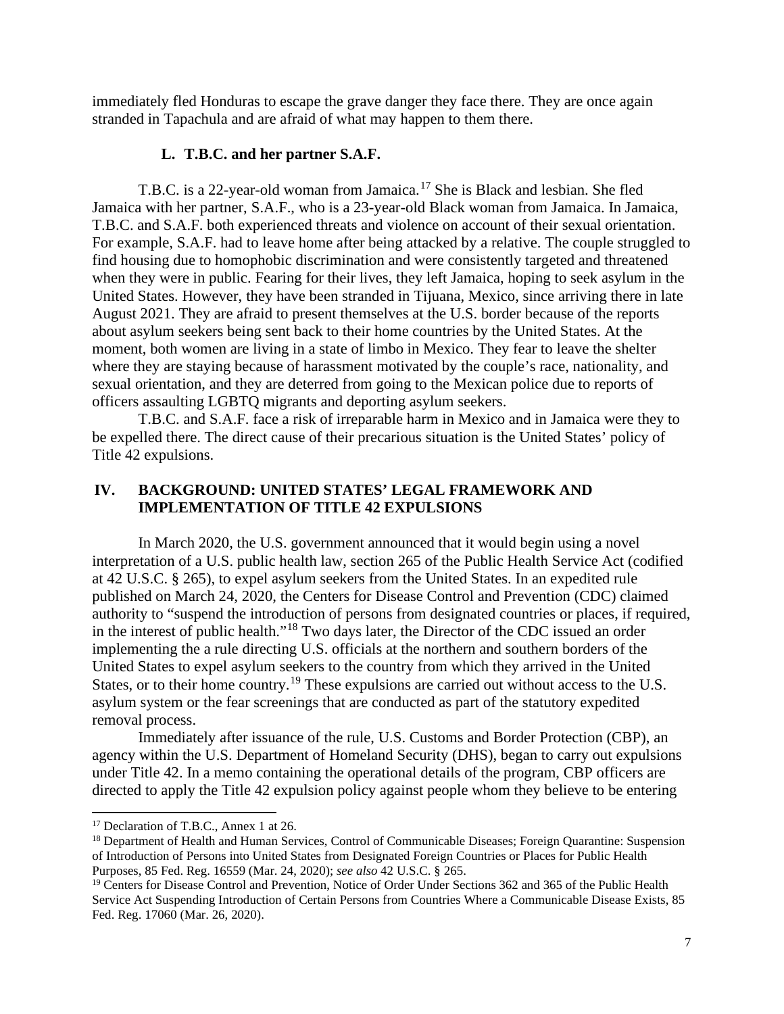immediately fled Honduras to escape the grave danger they face there. They are once again stranded in Tapachula and are afraid of what may happen to them there.

### **L. T.B.C. and her partner S.A.F.**

<span id="page-9-0"></span>T.B.C. is a 22-year-old woman from Jamaica.<sup>[17](#page-9-2)</sup> She is Black and lesbian. She fled Jamaica with her partner, S.A.F., who is a 23-year-old Black woman from Jamaica. In Jamaica, T.B.C. and S.A.F. both experienced threats and violence on account of their sexual orientation. For example, S.A.F. had to leave home after being attacked by a relative. The couple struggled to find housing due to homophobic discrimination and were consistently targeted and threatened when they were in public. Fearing for their lives, they left Jamaica, hoping to seek asylum in the United States. However, they have been stranded in Tijuana, Mexico, since arriving there in late August 2021. They are afraid to present themselves at the U.S. border because of the reports about asylum seekers being sent back to their home countries by the United States. At the moment, both women are living in a state of limbo in Mexico. They fear to leave the shelter where they are staying because of harassment motivated by the couple's race, nationality, and sexual orientation, and they are deterred from going to the Mexican police due to reports of officers assaulting LGBTQ migrants and deporting asylum seekers.

T.B.C. and S.A.F. face a risk of irreparable harm in Mexico and in Jamaica were they to be expelled there. The direct cause of their precarious situation is the United States' policy of Title 42 expulsions.

### <span id="page-9-1"></span>**IV. BACKGROUND: UNITED STATES' LEGAL FRAMEWORK AND IMPLEMENTATION OF TITLE 42 EXPULSIONS**

In March 2020, the U.S. government announced that it would begin using a novel interpretation of a U.S. public health law, section 265 of the Public Health Service Act (codified at 42 U.S.C. § 265), to expel asylum seekers from the United States. In an expedited rule published on March 24, 2020, the Centers for Disease Control and Prevention (CDC) claimed authority to "suspend the introduction of persons from designated countries or places, if required, in the interest of public health."[18](#page-9-3) Two days later, the Director of the CDC issued an order implementing the a rule directing U.S. officials at the northern and southern borders of the United States to expel asylum seekers to the country from which they arrived in the United States, or to their home country.<sup>[19](#page-9-4)</sup> These expulsions are carried out without access to the U.S. asylum system or the fear screenings that are conducted as part of the statutory expedited removal process.

Immediately after issuance of the rule, U.S. Customs and Border Protection (CBP), an agency within the U.S. Department of Homeland Security (DHS), began to carry out expulsions under Title 42. In a memo containing the operational details of the program, CBP officers are directed to apply the Title 42 expulsion policy against people whom they believe to be entering

<span id="page-9-2"></span><sup>&</sup>lt;sup>17</sup> Declaration of T.B.C., Annex 1 at 26.

<span id="page-9-3"></span><sup>&</sup>lt;sup>18</sup> Department of Health and Human Services, Control of Communicable Diseases; Foreign Quarantine: Suspension of Introduction of Persons into United States from Designated Foreign Countries or Places for Public Health Purposes, 85 Fed. Reg. 16559 (Mar. 24, 2020); *see also* 42 U.S.C. § 265.

<span id="page-9-4"></span><sup>&</sup>lt;sup>19</sup> Centers for Disease Control and Prevention, Notice of Order Under Sections 362 and 365 of the Public Health Service Act Suspending Introduction of Certain Persons from Countries Where a Communicable Disease Exists, 85 Fed. Reg. 17060 (Mar. 26, 2020).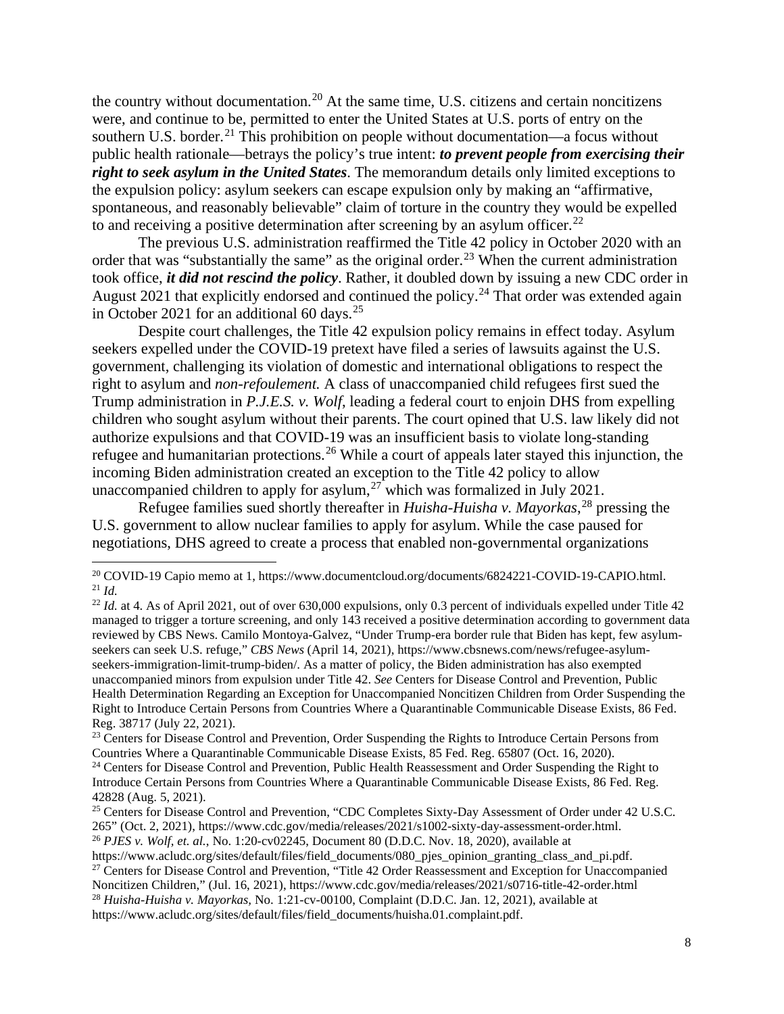the country without documentation.<sup>[20](#page-10-0)</sup> At the same time, U.S. citizens and certain noncitizens were, and continue to be, permitted to enter the United States at U.S. ports of entry on the southern U.S. border.<sup>[21](#page-10-1)</sup> This prohibition on people without documentation—a focus without public health rationale—betrays the policy's true intent: *to prevent people from exercising their right to seek asylum in the United States*. The memorandum details only limited exceptions to the expulsion policy: asylum seekers can escape expulsion only by making an "affirmative, spontaneous, and reasonably believable" claim of torture in the country they would be expelled to and receiving a positive determination after screening by an asylum officer.<sup>[22](#page-10-2)</sup>

The previous U.S. administration reaffirmed the Title 42 policy in October 2020 with an order that was "substantially the same" as the original order.<sup>[23](#page-10-3)</sup> When the current administration took office, *it did not rescind the policy*. Rather, it doubled down by issuing a new CDC order in August 2021 that explicitly endorsed and continued the policy.<sup>[24](#page-10-4)</sup> That order was extended again in October 2021 for an additional 60 days.<sup>[25](#page-10-5)</sup>

Despite court challenges, the Title 42 expulsion policy remains in effect today. Asylum seekers expelled under the COVID-19 pretext have filed a series of lawsuits against the U.S. government, challenging its violation of domestic and international obligations to respect the right to asylum and *non-refoulement.* A class of unaccompanied child refugees first sued the Trump administration in *P.J.E.S. v. Wolf*, leading a federal court to enjoin DHS from expelling children who sought asylum without their parents. The court opined that U.S. law likely did not authorize expulsions and that COVID-19 was an insufficient basis to violate long-standing refugee and humanitarian protections.<sup>[26](#page-10-6)</sup> While a court of appeals later stayed this injunction, the incoming Biden administration created an exception to the Title 42 policy to allow unaccompanied children to apply for asylum,<sup>[27](#page-10-7)</sup> which was formalized in July 2021.

Refugee families sued shortly thereafter in *Huisha-Huisha v. Mayorkas*, [28](#page-10-8) pressing the U.S. government to allow nuclear families to apply for asylum. While the case paused for negotiations, DHS agreed to create a process that enabled non-governmental organizations

<span id="page-10-7"></span>Noncitizen Children," (Jul. 16, 2021), https://www.cdc.gov/media/releases/2021/s0716-title-42-order.html

<span id="page-10-0"></span><sup>20</sup> COVID-19 Capio memo at 1, https://www.documentcloud.org/documents/6824221-COVID-19-CAPIO.html. <sup>21</sup> *Id.*

<span id="page-10-2"></span><span id="page-10-1"></span><sup>&</sup>lt;sup>22</sup> *Id.* at 4. As of April 2021, out of over 630,000 expulsions, only 0.3 percent of individuals expelled under Title 42 managed to trigger a torture screening, and only 143 received a positive determination according to government data reviewed by CBS News. Camilo Montoya-Galvez, "Under Trump-era border rule that Biden has kept, few asylumseekers can seek U.S. refuge," *CBS News* (April 14, 2021), [https://www.cbsnews.com/news/refugee-asylum](https://www.cbsnews.com/news/refugee-asylum-seekers-immigration-limit-trump-biden/)[seekers-immigration-limit-trump-biden/.](https://www.cbsnews.com/news/refugee-asylum-seekers-immigration-limit-trump-biden/) As a matter of policy, the Biden administration has also exempted unaccompanied minors from expulsion under Title 42. *See* Centers for Disease Control and Prevention, Public Health Determination Regarding an Exception for Unaccompanied Noncitizen Children from Order Suspending the Right to Introduce Certain Persons from Countries Where a Quarantinable Communicable Disease Exists, 86 Fed. Reg. 38717 (July 22, 2021).

<span id="page-10-3"></span><sup>&</sup>lt;sup>23</sup> Centers for Disease Control and Prevention, Order Suspending the Rights to Introduce Certain Persons from Countries Where a Quarantinable Communicable Disease Exists, 85 Fed. Reg. 65807 (Oct. 16, 2020).

<span id="page-10-4"></span><sup>&</sup>lt;sup>24</sup> Centers for Disease Control and Prevention, Public Health Reassessment and Order Suspending the Right to Introduce Certain Persons from Countries Where a Quarantinable Communicable Disease Exists, 86 Fed. Reg. 42828 (Aug. 5, 2021).

<span id="page-10-5"></span><sup>&</sup>lt;sup>25</sup> Centers for Disease Control and Prevention, "CDC Completes Sixty-Day Assessment of Order under 42 U.S.C. 265" (Oct. 2, 2021), https://www.cdc.gov/media/releases/2021/s1002-sixty-day-assessment-order.html.

<span id="page-10-6"></span><sup>26</sup> *PJES v. Wolf, et. al.*, No. 1:20-cv02245, Document 80 (D.D.C. Nov. 18, 2020), available at

https://www.acludc.org/sites/default/files/field\_documents/080\_pjes\_opinion\_granting\_class\_and\_pi.pdf. <sup>27</sup> Centers for Disease Control and Prevention, "Title 42 Order Reassessment and Exception for Unaccompanied

<span id="page-10-8"></span><sup>28</sup> *Huisha-Huisha v. Mayorkas,* No. 1:21-cv-00100, Complaint (D.D.C. Jan. 12, 2021), available at https://www.acludc.org/sites/default/files/field\_documents/huisha.01.complaint.pdf.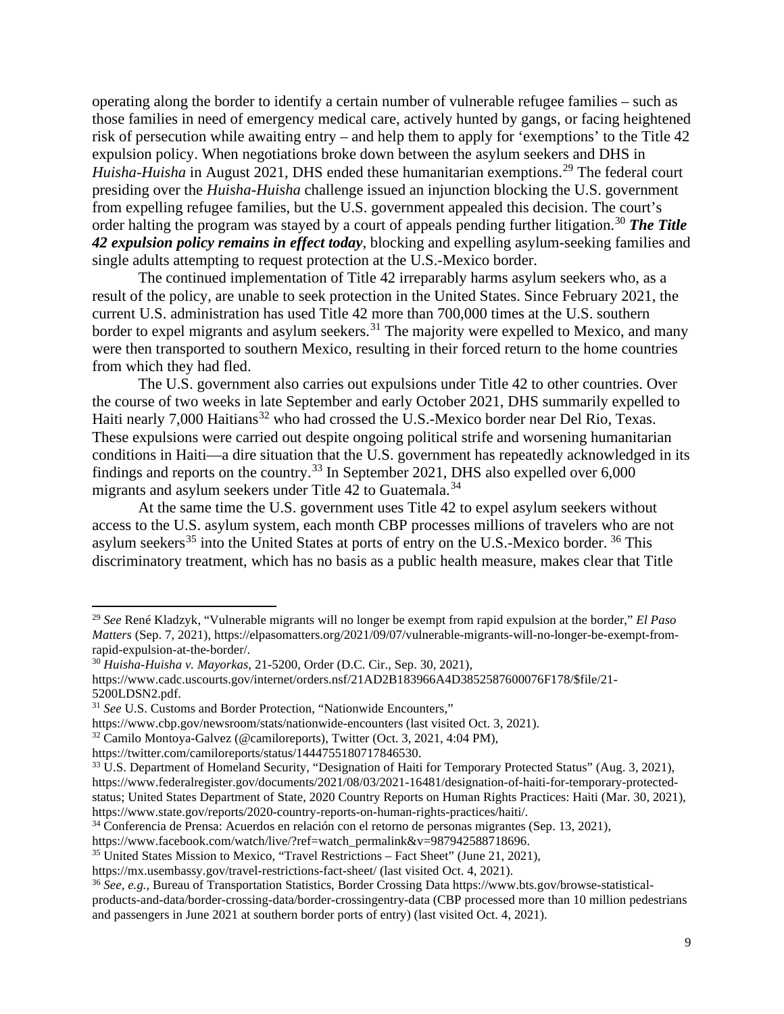operating along the border to identify a certain number of vulnerable refugee families – such as those families in need of emergency medical care, actively hunted by gangs, or facing heightened risk of persecution while awaiting entry – and help them to apply for 'exemptions' to the Title 42 expulsion policy. When negotiations broke down between the asylum seekers and DHS in Huisha-Huisha in August 2021, DHS ended these humanitarian exemptions.<sup>[29](#page-11-0)</sup> The federal court presiding over the *Huisha-Huisha* challenge issued an injunction blocking the U.S. government from expelling refugee families, but the U.S. government appealed this decision. The court's order halting the program was stayed by a court of appeals pending further litigation.<sup>[30](#page-11-1)</sup> **The Title** *42 expulsion policy remains in effect today*, blocking and expelling asylum-seeking families and single adults attempting to request protection at the U.S.-Mexico border.

The continued implementation of Title 42 irreparably harms asylum seekers who, as a result of the policy, are unable to seek protection in the United States. Since February 2021, the current U.S. administration has used Title 42 more than 700,000 times at the U.S. southern border to expel migrants and asylum seekers.<sup>[31](#page-11-2)</sup> The majority were expelled to Mexico, and many were then transported to southern Mexico, resulting in their forced return to the home countries from which they had fled.

The U.S. government also carries out expulsions under Title 42 to other countries. Over the course of two weeks in late September and early October 2021, DHS summarily expelled to Haiti nearly 7,000 Haitians<sup>[32](#page-11-3)</sup> who had crossed the U.S.-Mexico border near Del Rio, Texas. These expulsions were carried out despite ongoing political strife and worsening humanitarian conditions in Haiti—a dire situation that the U.S. government has repeatedly acknowledged in its findings and reports on the country.<sup>[33](#page-11-4)</sup> In September 2021, DHS also expelled over  $6,000$ migrants and asylum seekers under Title 42 to Guatemala.<sup>[34](#page-11-5)</sup>

At the same time the U.S. government uses Title 42 to expel asylum seekers without access to the U.S. asylum system, each month CBP processes millions of travelers who are not asylum seekers<sup>[35](#page-11-6)</sup> into the United States at ports of entry on the U.S.-Mexico border.  $36$  This discriminatory treatment, which has no basis as a public health measure, makes clear that Title

<span id="page-11-0"></span><sup>29</sup> *See* René Kladzyk, "Vulnerable migrants will no longer be exempt from rapid expulsion at the border," *El Paso Matters* (Sep. 7, 2021), [https://elpasomatters.org/2021/09/07/vulnerable-migrants-will-no-longer-be-exempt-from](https://elpasomatters.org/2021/09/07/vulnerable-migrants-will-no-longer-be-exempt-from-rapid-expulsion-at-the-border/)[rapid-expulsion-at-the-border/.](https://elpasomatters.org/2021/09/07/vulnerable-migrants-will-no-longer-be-exempt-from-rapid-expulsion-at-the-border/)

<span id="page-11-1"></span><sup>30</sup> *Huisha-Huisha v. Mayorkas*, 21-5200, Order (D.C. Cir., Sep. 30, 2021),

[https://www.cadc.uscourts.gov/internet/orders.nsf/21AD2B183966A4D3852587600076F178/\\$file/21-](https://www.cadc.uscourts.gov/internet/orders.nsf/21AD2B183966A4D3852587600076F178/$file/21-5200LDSN2.pdf) [5200LDSN2.pdf.](https://www.cadc.uscourts.gov/internet/orders.nsf/21AD2B183966A4D3852587600076F178/$file/21-5200LDSN2.pdf) 31 *See* U.S. Customs and Border Protection, "Nationwide Encounters,"

<span id="page-11-2"></span>

https://www.cbp.gov/newsroom/stats/nationwide-encounters (last visited Oct. 3, 2021).

<span id="page-11-3"></span><sup>32</sup> Camilo Montoya-Galvez (@camiloreports), Twitter (Oct. 3, 2021, 4:04 PM),

https://twitter.com/camiloreports/status/1444755180717846530.

<span id="page-11-4"></span><sup>&</sup>lt;sup>33</sup> U.S. Department of Homeland Security, "Designation of Haiti for Temporary Protected Status" (Aug. 3, 2021), https://www.federalregister.gov/documents/2021/08/03/2021-16481/designation-of-haiti-for-temporary-protectedstatus; United States Department of State, 2020 Country Reports on Human Rights Practices: Haiti (Mar. 30, 2021), https://www.state.gov/reports/2020-country-reports-on-human-rights-practices/haiti/.<br><sup>34</sup> Conferencia de Prensa: Acuerdos en relación con el retorno de personas migrantes (Sep. 13, 2021),<br>https://www.facebook.com/watch/liv

<span id="page-11-5"></span>

<span id="page-11-6"></span><sup>&</sup>lt;sup>35</sup> United States Mission to Mexico, "Travel Restrictions – Fact Sheet" (June 21, 2021),

<https://mx.usembassy.gov/travel-restrictions-fact-sheet/> (last visited Oct. 4, 2021).

<span id="page-11-7"></span><sup>36</sup> *See, e.g.*, Bureau of Transportation Statistics, Border Crossing Dat[a https://www.bts.gov/browse-statistical](https://www.bts.gov/browse-statistical-products-and-data/border-crossing-data/border-crossingentry-data)[products-and-data/border-crossing-data/border-crossingentry-data](https://www.bts.gov/browse-statistical-products-and-data/border-crossing-data/border-crossingentry-data) (CBP processed more than 10 million pedestrians and passengers in June 2021 at southern border ports of entry) (last visited Oct. 4, 2021).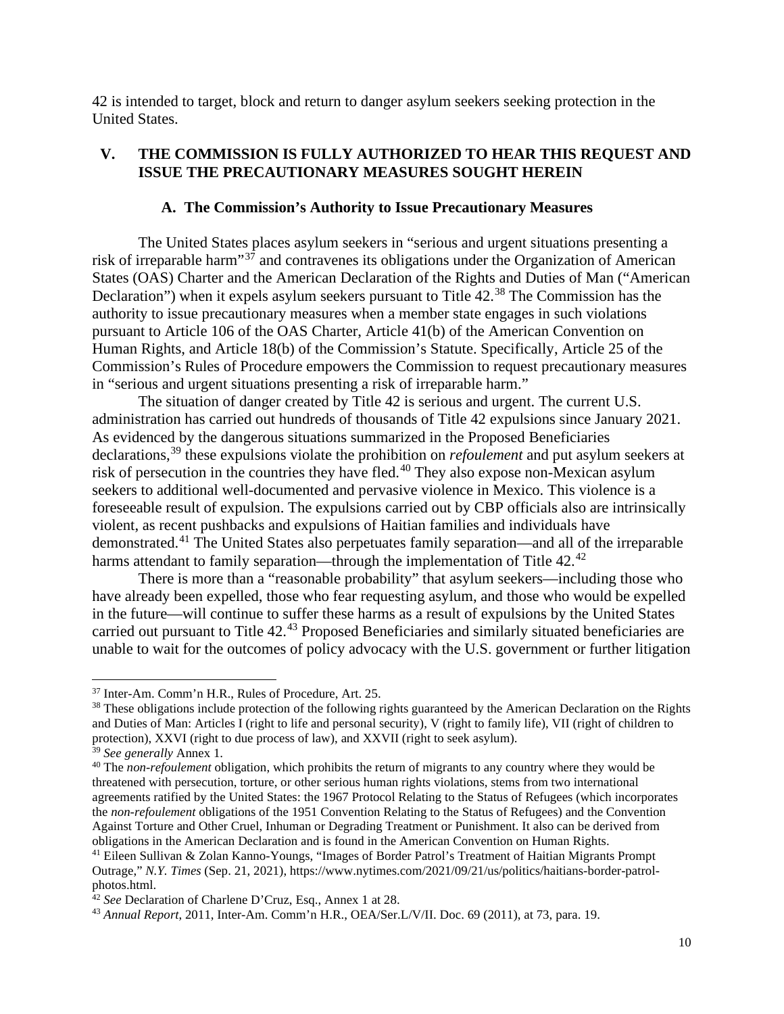42 is intended to target, block and return to danger asylum seekers seeking protection in the United States.

### <span id="page-12-0"></span>**V. THE COMMISSION IS FULLY AUTHORIZED TO HEAR THIS REQUEST AND ISSUE THE PRECAUTIONARY MEASURES SOUGHT HEREIN**

### **A. The Commission's Authority to Issue Precautionary Measures**

<span id="page-12-1"></span>The United States places asylum seekers in "serious and urgent situations presenting a risk of irreparable harm"[37](#page-12-2) and contravenes its obligations under the Organization of American States (OAS) Charter and the American Declaration of the Rights and Duties of Man ("American Declaration") when it expels asylum seekers pursuant to Title 42.<sup>[38](#page-12-3)</sup> The Commission has the authority to issue precautionary measures when a member state engages in such violations pursuant to Article 106 of the OAS Charter, Article 41(b) of the American Convention on Human Rights, and Article 18(b) of the Commission's Statute. Specifically, Article 25 of the Commission's Rules of Procedure empowers the Commission to request precautionary measures in "serious and urgent situations presenting a risk of irreparable harm."

The situation of danger created by Title 42 is serious and urgent. The current U.S. administration has carried out hundreds of thousands of Title 42 expulsions since January 2021. As evidenced by the dangerous situations summarized in the Proposed Beneficiaries declarations, [39](#page-12-4) these expulsions violate the prohibition on *refoulement* and put asylum seekers at risk of persecution in the countries they have fled.<sup>[40](#page-12-5)</sup> They also expose non-Mexican asylum seekers to additional well-documented and pervasive violence in Mexico. This violence is a foreseeable result of expulsion. The expulsions carried out by CBP officials also are intrinsically violent, as recent pushbacks and expulsions of Haitian families and individuals have demonstrated.[41](#page-12-6) The United States also perpetuates family separation—and all of the irreparable harms attendant to family separation—through the implementation of Title [42](#page-12-7).<sup>42</sup>

There is more than a "reasonable probability" that asylum seekers—including those who have already been expelled, those who fear requesting asylum, and those who would be expelled in the future—will continue to suffer these harms as a result of expulsions by the United States carried out pursuant to Title 42.<sup>[43](#page-12-8)</sup> Proposed Beneficiaries and similarly situated beneficiaries are unable to wait for the outcomes of policy advocacy with the U.S. government or further litigation

<span id="page-12-2"></span><sup>37</sup> Inter-Am. Comm'n H.R., Rules of Procedure, Art. 25.

<span id="page-12-3"></span><sup>&</sup>lt;sup>38</sup> These obligations include protection of the following rights guaranteed by the American Declaration on the Rights and Duties of Man: Articles I (right to life and personal security), V (right to family life), VII (right of children to protection), XXVI (right to due process of law), and XXVII (right to seek asylum).

<span id="page-12-4"></span><sup>39</sup> *See generally* Annex 1.

<span id="page-12-5"></span><sup>&</sup>lt;sup>40</sup> The *non-refoulement* obligation, which prohibits the return of migrants to any country where they would be threatened with persecution, torture, or other serious human rights violations, stems from two international agreements ratified by the United States: the 1967 Protocol Relating to the Status of Refugees (which incorporates the *non-refoulement* obligations of the 1951 Convention Relating to the Status of Refugees) and the Convention Against Torture and Other Cruel, Inhuman or Degrading Treatment or Punishment. It also can be derived from obligations in the American Declaration and is found in the American Convention on Human Rights.

<span id="page-12-6"></span><sup>41</sup> [Eileen Sullivan](https://www.nytimes.com/by/eileen-sullivan) & [Zolan Kanno-Youngs,](https://www.nytimes.com/by/zolan-kanno-youngs) "Images of Border Patrol's Treatment of Haitian Migrants Prompt Outrage," *N.Y. Times* (Sep. 21, 2021), https://www.nytimes.com/2021/09/21/us/politics/haitians-border-patrolphotos.html.

<span id="page-12-7"></span><sup>&</sup>lt;sup>42</sup> See Declaration of Charlene D'Cruz, Esq., Annex 1 at 28.

<span id="page-12-8"></span><sup>43</sup> *Annual Report*, 2011, Inter-Am. Comm'n H.R., OEA/Ser.L/V/II. Doc. 69 (2011), at 73, para. 19.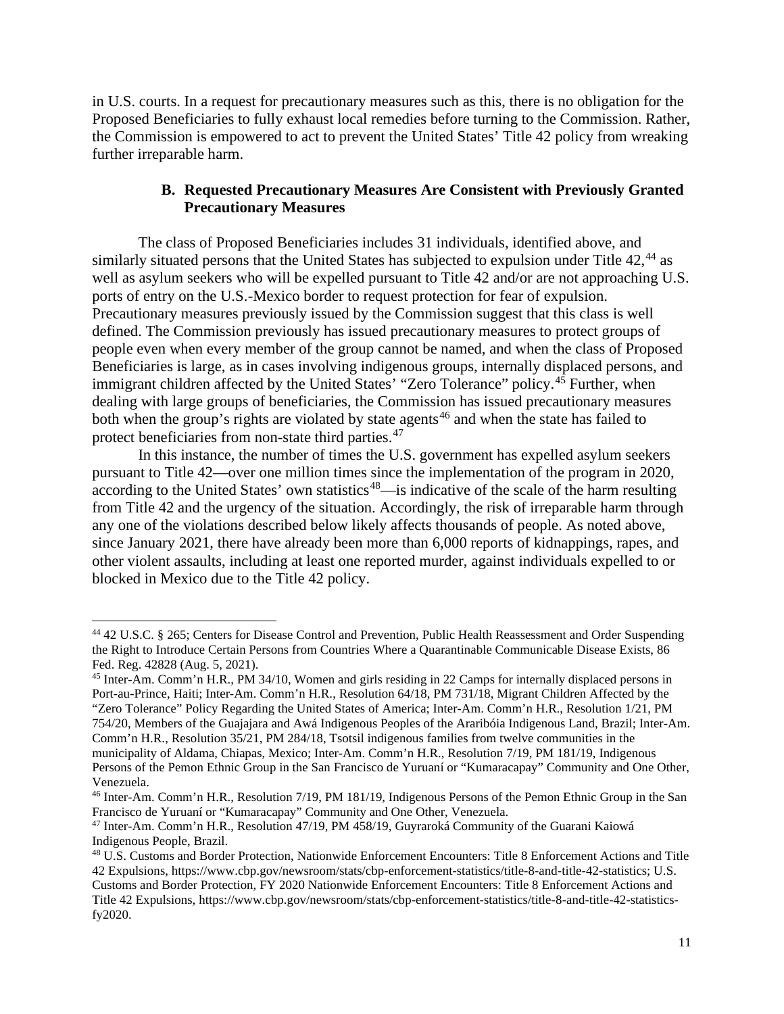in U.S. courts. In a request for precautionary measures such as this, there is no obligation for the Proposed Beneficiaries to fully exhaust local remedies before turning to the Commission. Rather, the Commission is empowered to act to prevent the United States' Title 42 policy from wreaking further irreparable harm.

## **B. Requested Precautionary Measures Are Consistent with Previously Granted Precautionary Measures**

<span id="page-13-0"></span>The class of Proposed Beneficiaries includes 31 individuals, identified above, and similarly situated persons that the United States has subjected to expulsion under Title 42,<sup>[44](#page-13-1)</sup> as well as asylum seekers who will be expelled pursuant to Title 42 and/or are not approaching U.S. ports of entry on the U.S.-Mexico border to request protection for fear of expulsion. Precautionary measures previously issued by the Commission suggest that this class is well defined. The Commission previously has issued precautionary measures to protect groups of people even when every member of the group cannot be named, and when the class of Proposed Beneficiaries is large, as in cases involving indigenous groups, internally displaced persons, and immigrant children affected by the United States' "Zero Tolerance" policy.<sup>[45](#page-13-2)</sup> Further, when dealing with large groups of beneficiaries, the Commission has issued precautionary measures both when the group's rights are violated by state agents<sup>[46](#page-13-3)</sup> and when the state has failed to protect beneficiaries from non-state third parties.<sup>[47](#page-13-4)</sup>

In this instance, the number of times the U.S. government has expelled asylum seekers pursuant to Title 42—over one million times since the implementation of the program in 2020,  $\alpha$  according to the United States' own statistics<sup>[48](#page-13-5)</sup>—is indicative of the scale of the harm resulting from Title 42 and the urgency of the situation. Accordingly, the risk of irreparable harm through any one of the violations described below likely affects thousands of people. As noted above, since January 2021, there have already been more than 6,000 reports of kidnappings, rapes, and other violent assaults, including at least one reported murder, against individuals expelled to or blocked in Mexico due to the Title 42 policy.

<span id="page-13-1"></span><sup>44</sup> 42 U.S.C. § 265; Centers for Disease Control and Prevention, Public Health Reassessment and Order Suspending the Right to Introduce Certain Persons from Countries Where a Quarantinable Communicable Disease Exists, 86 Fed. Reg. 42828 (Aug. 5, 2021).

<span id="page-13-2"></span><sup>45</sup> Inter-Am. Comm'n H.R., PM 34/10, Women and girls residing in 22 Camps for internally displaced persons in Port-au-Prince, Haiti; Inter-Am. Comm'n H.R., Resolution 64/18, PM 731/18, Migrant Children Affected by the "Zero Tolerance" Policy Regarding the United States of America; Inter-Am. Comm'n H.R., Resolution 1/21, PM 754/20, Members of the Guajajara and Awá Indigenous Peoples of the Araribóia Indigenous Land, Brazil; Inter-Am. Comm'n H.R., Resolution 35/21, PM 284/18, Tsotsil indigenous families from twelve communities in the municipality of Aldama, Chiapas, Mexico; Inter-Am. Comm'n H.R., Resolution 7/19, PM 181/19, Indigenous Persons of the Pemon Ethnic Group in the San Francisco de Yuruaní or "Kumaracapay" Community and One Other, Venezuela.

<span id="page-13-3"></span><sup>46</sup> Inter-Am. Comm'n H.R., Resolution 7/19, PM 181/19, Indigenous Persons of the Pemon Ethnic Group in the San Francisco de Yuruaní or "Kumaracapay" Community and One Other, Venezuela.

<span id="page-13-4"></span><sup>47</sup> Inter-Am. Comm'n H.R., Resolution 47/19, PM 458/19, Guyraroká Community of the Guarani Kaiowá Indigenous People, Brazil.

<span id="page-13-5"></span><sup>48</sup> U.S. Customs and Border Protection, Nationwide Enforcement Encounters: Title 8 Enforcement Actions and Title 42 Expulsions, https://www.cbp.gov/newsroom/stats/cbp-enforcement-statistics/title-8-and-title-42-statistics; U.S. Customs and Border Protection, FY 2020 Nationwide Enforcement Encounters: Title 8 Enforcement Actions and Title 42 Expulsions, https://www.cbp.gov/newsroom/stats/cbp-enforcement-statistics/title-8-and-title-42-statisticsfy2020.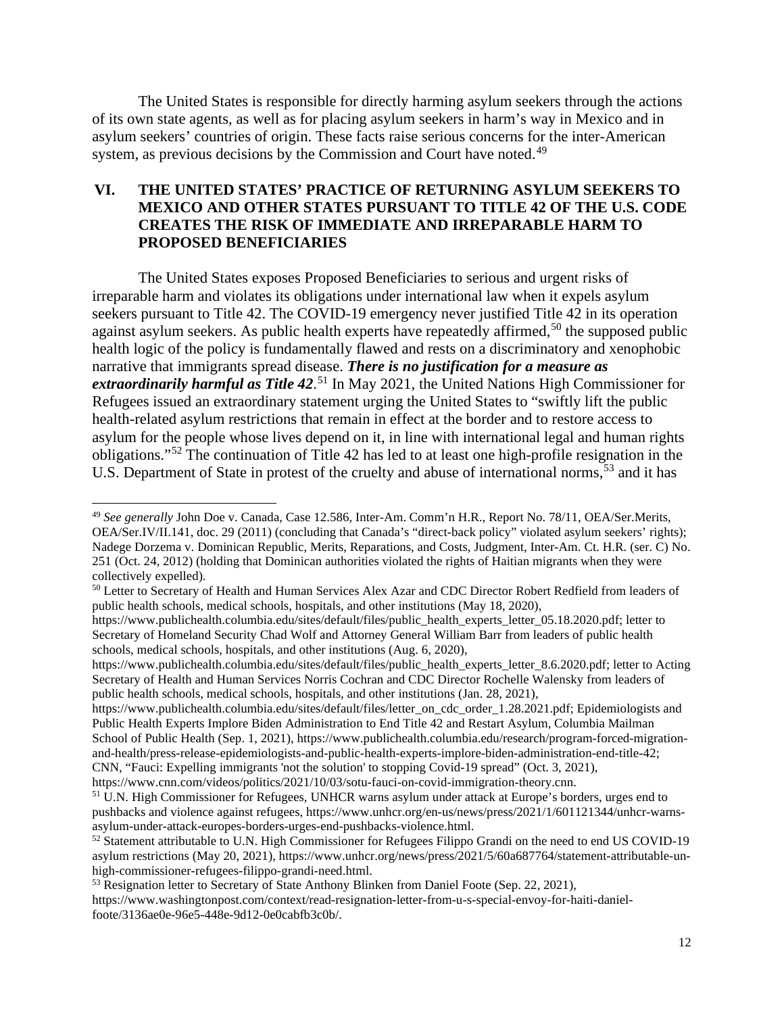The United States is responsible for directly harming asylum seekers through the actions of its own state agents, as well as for placing asylum seekers in harm's way in Mexico and in asylum seekers' countries of origin. These facts raise serious concerns for the inter-American system, as previous decisions by the Commission and Court have noted.<sup>[49](#page-14-1)</sup>

## <span id="page-14-0"></span>**VI. THE UNITED STATES' PRACTICE OF RETURNING ASYLUM SEEKERS TO MEXICO AND OTHER STATES PURSUANT TO TITLE 42 OF THE U.S. CODE CREATES THE RISK OF IMMEDIATE AND IRREPARABLE HARM TO PROPOSED BENEFICIARIES**

The United States exposes Proposed Beneficiaries to serious and urgent risks of irreparable harm and violates its obligations under international law when it expels asylum seekers pursuant to Title 42. The COVID-19 emergency never justified Title 42 in its operation against asylum seekers. As public health experts have repeatedly affirmed,<sup>[50](#page-14-2)</sup> the supposed public health logic of the policy is fundamentally flawed and rests on a discriminatory and xenophobic narrative that immigrants spread disease. *There is no justification for a measure as extraordinarily harmful as Title 42*. [51](#page-14-3) In May 2021, the United Nations High Commissioner for Refugees issued an extraordinary statement urging the United States to "swiftly lift the public health-related asylum restrictions that remain in effect at the border and to restore access to asylum for the people whose lives depend on it, in line with international legal and human rights obligations."[52](#page-14-4) The continuation of Title 42 has led to at least one high-profile resignation in the U.S. Department of State in protest of the cruelty and abuse of international norms,<sup>[53](#page-14-5)</sup> and it has

[https://www.publichealth.columbia.edu/sites/default/files/letter\\_on\\_cdc\\_order\\_1.28.2021.pdf;](https://www.publichealth.columbia.edu/sites/default/files/letter_on_cdc_order_1.28.2021.pdf) Epidemiologists and Public Health Experts Implore Biden Administration to End Title 42 and Restart Asylum, Columbia Mailman School of Public Health (Sep. 1, 2021), [https://www.publichealth.columbia.edu/research/program-forced-migration](https://www.publichealth.columbia.edu/research/program-forced-migration-and-health/press-release-epidemiologists-and-public-health-experts-implore-biden-administration-end-title-42)[and-health/press-release-epidemiologists-and-public-health-experts-implore-biden-administration-end-title-42;](https://www.publichealth.columbia.edu/research/program-forced-migration-and-health/press-release-epidemiologists-and-public-health-experts-implore-biden-administration-end-title-42) CNN, "Fauci: Expelling immigrants 'not the solution' to stopping Covid-19 spread" (Oct. 3, 2021),

https://www.cnn.com/videos/politics/2021/10/03/sotu-fauci-on-covid-immigration-theory.cnn.

<span id="page-14-1"></span><sup>49</sup> *See generally* John Doe v. Canada, Case 12.586, Inter-Am. Comm'n H.R., Report No. 78/11, OEA/Ser.Merits, OEA/Ser.IV/II.141, doc. 29 (2011) (concluding that Canada's "direct-back policy" violated asylum seekers' rights); Nadege Dorzema v. Dominican Republic, Merits, Reparations, and Costs, Judgment, Inter-Am. Ct. H.R. (ser. C) No. 251 (Oct. 24, 2012) (holding that Dominican authorities violated the rights of Haitian migrants when they were collectively expelled).

<span id="page-14-2"></span><sup>&</sup>lt;sup>50</sup> Letter to Secretary of Health and Human Services Alex Azar and CDC Director Robert Redfield from leaders of public health schools, medical schools, hospitals, and other institutions (May 18, 2020),

[https://www.publichealth.columbia.edu/sites/default/files/public\\_health\\_experts\\_letter\\_05.18.2020.pdf;](https://www.publichealth.columbia.edu/sites/default/files/public_health_experts_letter_05.18.2020.pdf) letter to Secretary of Homeland Security Chad Wolf and Attorney General William Barr from leaders of public health schools, medical schools, hospitals, and other institutions (Aug. 6, 2020),

[https://www.publichealth.columbia.edu/sites/default/files/public\\_health\\_experts\\_letter\\_8.6.2020.pdf;](https://www.publichealth.columbia.edu/sites/default/files/public_health_experts_letter_8.6.2020.pdf) letter to Acting Secretary of Health and Human Services Norris Cochran and CDC Director Rochelle Walensky from leaders of public health schools, medical schools, hospitals, and other institutions (Jan. 28, 2021),

<span id="page-14-3"></span><sup>&</sup>lt;sup>51</sup> U.N. High Commissioner for Refugees, UNHCR warns asylum under attack at Europe's borders, urges end to pushbacks and violence against refugees, https://www.unhcr.org/en-us/news/press/2021/1/601121344/unhcr-warnsasylum-under-attack-europes-borders-urges-end-pushbacks-violence.html.

<span id="page-14-4"></span><sup>52</sup> Statement attributable to U.N. High Commissioner for Refugees Filippo Grandi on the need to end US COVID-19 asylum restrictions (May 20, 2021), https://www.unhcr.org/news/press/2021/5/60a687764/statement-attributable-unhigh-commissioner-refugees-filippo-grandi-need.html.

<span id="page-14-5"></span><sup>53</sup> Resignation letter to Secretary of State Anthony Blinken from Daniel Foote (Sep. 22, 2021),

https://www.washingtonpost.com/context/read-resignation-letter-from-u-s-special-envoy-for-haiti-danielfoote/3136ae0e-96e5-448e-9d12-0e0cabfb3c0b/.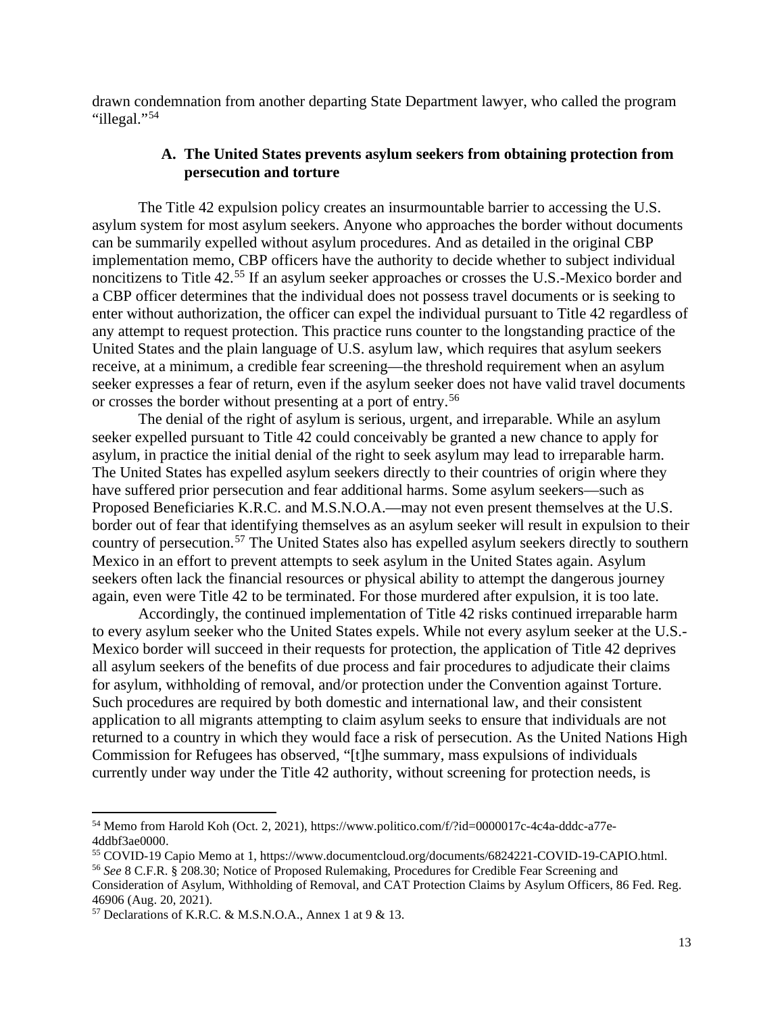<span id="page-15-0"></span>drawn condemnation from another departing State Department lawyer, who called the program "illegal."<sup>[54](#page-15-1)</sup>

### **A. The United States prevents asylum seekers from obtaining protection from persecution and torture**

The Title 42 expulsion policy creates an insurmountable barrier to accessing the U.S. asylum system for most asylum seekers. Anyone who approaches the border without documents can be summarily expelled without asylum procedures. And as detailed in the original CBP implementation memo, CBP officers have the authority to decide whether to subject individual noncitizens to Title 42.<sup>[55](#page-15-2)</sup> If an asylum seeker approaches or crosses the U.S.-Mexico border and a CBP officer determines that the individual does not possess travel documents or is seeking to enter without authorization, the officer can expel the individual pursuant to Title 42 regardless of any attempt to request protection. This practice runs counter to the longstanding practice of the United States and the plain language of U.S. asylum law, which requires that asylum seekers receive, at a minimum, a credible fear screening—the threshold requirement when an asylum seeker expresses a fear of return, even if the asylum seeker does not have valid travel documents or crosses the border without presenting at a port of entry.[56](#page-15-3)

The denial of the right of asylum is serious, urgent, and irreparable. While an asylum seeker expelled pursuant to Title 42 could conceivably be granted a new chance to apply for asylum, in practice the initial denial of the right to seek asylum may lead to irreparable harm. The United States has expelled asylum seekers directly to their countries of origin where they have suffered prior persecution and fear additional harms. Some asylum seekers—such as Proposed Beneficiaries K.R.C. and M.S.N.O.A.—may not even present themselves at the U.S. border out of fear that identifying themselves as an asylum seeker will result in expulsion to their country of persecution.<sup>[57](#page-15-4)</sup> The United States also has expelled asylum seekers directly to southern Mexico in an effort to prevent attempts to seek asylum in the United States again. Asylum seekers often lack the financial resources or physical ability to attempt the dangerous journey again, even were Title 42 to be terminated. For those murdered after expulsion, it is too late.

Accordingly, the continued implementation of Title 42 risks continued irreparable harm to every asylum seeker who the United States expels. While not every asylum seeker at the U.S.- Mexico border will succeed in their requests for protection, the application of Title 42 deprives all asylum seekers of the benefits of due process and fair procedures to adjudicate their claims for asylum, withholding of removal, and/or protection under the Convention against Torture. Such procedures are required by both domestic and international law, and their consistent application to all migrants attempting to claim asylum seeks to ensure that individuals are not returned to a country in which they would face a risk of persecution. As the United Nations High Commission for Refugees has observed, "[t]he summary, mass expulsions of individuals currently under way under the Title 42 authority, without screening for protection needs, is

<span id="page-15-1"></span><sup>54</sup> Memo from Harold Koh (Oct. 2, 2021), https://www.politico.com/f/?id=0000017c-4c4a-dddc-a77e-4ddbf3ae0000.

<span id="page-15-2"></span><sup>55</sup> COVID-19 Capio Memo at 1, https://www.documentcloud.org/documents/6824221-COVID-19-CAPIO.html.

<span id="page-15-3"></span><sup>56</sup> *See* 8 C.F.R. § 208.30; Notice of Proposed Rulemaking, Procedures for Credible Fear Screening and

Consideration of Asylum, Withholding of Removal, and CAT Protection Claims by Asylum Officers, 86 Fed. Reg. 46906 (Aug. 20, 2021).

<span id="page-15-4"></span><sup>57</sup> Declarations of K.R.C. & M.S.N.O.A., Annex 1 at 9 & 13.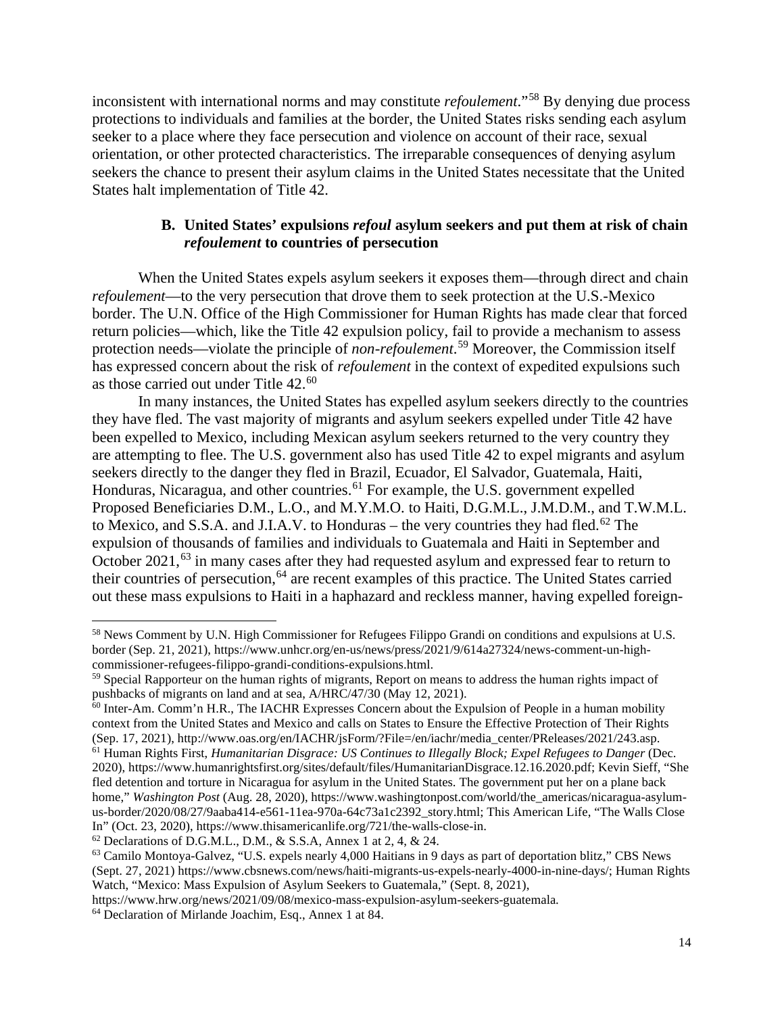inconsistent with international norms and may constitute *refoulement*."[58](#page-16-1) By denying due process protections to individuals and families at the border, the United States risks sending each asylum seeker to a place where they face persecution and violence on account of their race, sexual orientation, or other protected characteristics. The irreparable consequences of denying asylum seekers the chance to present their asylum claims in the United States necessitate that the United States halt implementation of Title 42.

## **B. United States' expulsions** *refoul* **asylum seekers and put them at risk of chain**  *refoulement* **to countries of persecution**

<span id="page-16-0"></span>When the United States expels asylum seekers it exposes them—through direct and chain *refoulement*—to the very persecution that drove them to seek protection at the U.S.-Mexico border. The U.N. Office of the High Commissioner for Human Rights has made clear that forced return policies—which, like the Title 42 expulsion policy, fail to provide a mechanism to assess protection needs—violate the principle of *non-refoulement*. [59](#page-16-2) Moreover, the Commission itself has expressed concern about the risk of *refoulement* in the context of expedited expulsions such as those carried out under Title 42.<sup>[60](#page-16-3)</sup>

In many instances, the United States has expelled asylum seekers directly to the countries they have fled. The vast majority of migrants and asylum seekers expelled under Title 42 have been expelled to Mexico, including Mexican asylum seekers returned to the very country they are attempting to flee. The U.S. government also has used Title 42 to expel migrants and asylum seekers directly to the danger they fled in Brazil, Ecuador, El Salvador, Guatemala, Haiti, Honduras, Nicaragua, and other countries.<sup>[61](#page-16-4)</sup> For example, the U.S. government expelled Proposed Beneficiaries D.M., L.O., and M.Y.M.O. to Haiti, D.G.M.L., J.M.D.M., and T.W.M.L. to Mexico, and S.S.A. and J.I.A.V. to Honduras – the very countries they had fled.<sup>[62](#page-16-5)</sup> The expulsion of thousands of families and individuals to Guatemala and Haiti in September and October 2021,<sup>[63](#page-16-6)</sup> in many cases after they had requested asylum and expressed fear to return to their countries of persecution,<sup>[64](#page-16-7)</sup> are recent examples of this practice. The United States carried out these mass expulsions to Haiti in a haphazard and reckless manner, having expelled foreign-

<span id="page-16-1"></span><sup>58</sup> News Comment by U.N. High Commissioner for Refugees Filippo Grandi on conditions and expulsions at U.S. border (Sep. 21, 2021), [https://www.unhcr.org/en-us/news/press/2021/9/614a27324/news-comment-un-high-](https://www.unhcr.org/en-us/news/press/2021/9/614a27324/news-comment-un-high-commissioner-refugees-filippo-grandi-conditions-expulsions.html)

<span id="page-16-2"></span><sup>&</sup>lt;sup>59</sup> Special Rapporteur on the human rights of migrants, Report on means to address the human rights impact of pushbacks of migrants on land and at sea, A/HRC/47/30 (May 12, 2021).

<span id="page-16-3"></span><sup>&</sup>lt;sup>60</sup> Inter-Am. Comm'n H.R., The IACHR Expresses Concern about the Expulsion of People in a human mobility context from the United States and Mexico and calls on States to Ensure the Effective Protection of Their Rights (Sep. 17, 2021), http://www.oas.org/en/IACHR/jsForm/?File=/en/iachr/media\_center/PReleases/2021/243.asp.

<span id="page-16-4"></span><sup>61</sup> Human Rights First, *Humanitarian Disgrace: US Continues to Illegally Block; Expel Refugees to Danger* (Dec. 2020), [https://www.humanrightsfirst.org/sites/default/files/HumanitarianDisgrace.12.16.2020.pdf;](https://www.humanrightsfirst.org/sites/default/files/HumanitarianDisgrace.12.16.2020.pdf) Kevin Sieff, "She fled detention and torture in Nicaragua for asylum in the United States. The government put her on a plane back home," *Washington Post* (Aug. 28, 2020), [https://www.washingtonpost.com/world/the\\_americas/nicaragua-asylum](https://www.washingtonpost.com/world/the_americas/nicaragua-asylum-us-border/2020/08/27/9aaba414-e561-11ea-970a-64c73a1c2392_story.html)[us-border/2020/08/27/9aaba414-e561-11ea-970a-64c73a1c2392\\_story.html;](https://www.washingtonpost.com/world/the_americas/nicaragua-asylum-us-border/2020/08/27/9aaba414-e561-11ea-970a-64c73a1c2392_story.html) This American Life, "The Walls Close In" (Oct. 23, 2020), https://www.thisamericanlife.org/721/the-walls-close-in.

<span id="page-16-5"></span> $62$  Declarations of D.G.M.L., D.M., & S.S.A, Annex 1 at 2, 4, & 24.

<span id="page-16-6"></span><sup>63</sup> Camilo Montoya-Galvez, "U.S. expels nearly 4,000 Haitians in 9 days as part of deportation blitz," CBS News (Sept. 27, 2021) https://www.cbsnews.com/news/haiti-migrants-us-expels-nearly-4000-in-nine-days/; Human Rights Watch, "Mexico: Mass Expulsion of Asylum Seekers to Guatemala," (Sept. 8, 2021),

<span id="page-16-7"></span>https://www.hrw.org/news/2021/09/08/mexico-mass-expulsion-asylum-seekers-guatemala. 64 Declaration of Mirlande Joachim, Esq., Annex 1 at 84.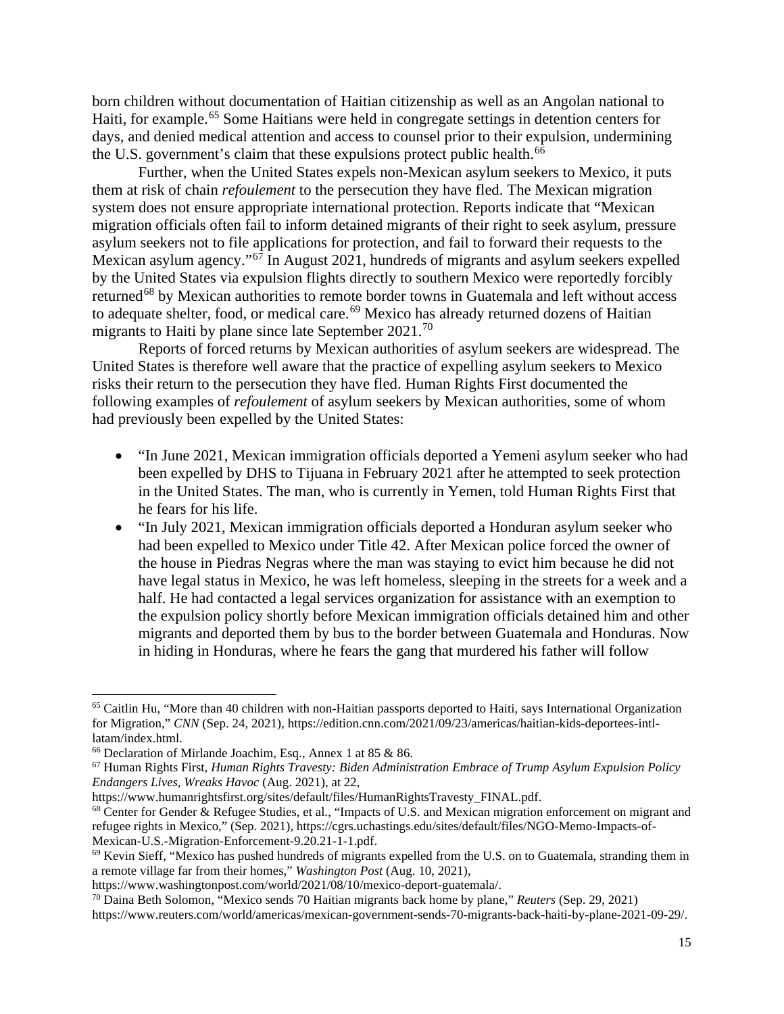born children without documentation of Haitian citizenship as well as an Angolan national to Haiti, for example.<sup>[65](#page-17-0)</sup> Some Haitians were held in congregate settings in detention centers for days, and denied medical attention and access to counsel prior to their expulsion, undermining the U.S. government's claim that these expulsions protect public health.<sup>[66](#page-17-1)</sup>

Further, when the United States expels non-Mexican asylum seekers to Mexico, it puts them at risk of chain *refoulement* to the persecution they have fled. The Mexican migration system does not ensure appropriate international protection. Reports indicate that "Mexican migration officials often fail to inform detained migrants of their right to seek asylum, pressure asylum seekers not to file applications for protection, and fail to forward their requests to the Mexican asylum agency."[67](#page-17-2) In August 2021, hundreds of migrants and asylum seekers expelled by the United States via expulsion flights directly to southern Mexico were reportedly forcibly returned<sup>[68](#page-17-3)</sup> by Mexican authorities to remote border towns in Guatemala and left without access to adequate shelter, food, or medical care.<sup>[69](#page-17-4)</sup> Mexico has already returned dozens of Haitian migrants to Haiti by plane since late September  $2021$ .<sup>[70](#page-17-5)</sup>

Reports of forced returns by Mexican authorities of asylum seekers are widespread. The United States is therefore well aware that the practice of expelling asylum seekers to Mexico risks their return to the persecution they have fled. Human Rights First documented the following examples of *refoulement* of asylum seekers by Mexican authorities, some of whom had previously been expelled by the United States:

- "In June 2021, Mexican immigration officials deported a Yemeni asylum seeker who had been expelled by DHS to Tijuana in February 2021 after he attempted to seek protection in the United States. The man, who is currently in Yemen, told Human Rights First that he fears for his life.
- "In July 2021, Mexican immigration officials deported a Honduran asylum seeker who had been expelled to Mexico under Title 42. After Mexican police forced the owner of the house in Piedras Negras where the man was staying to evict him because he did not have legal status in Mexico, he was left homeless, sleeping in the streets for a week and a half. He had contacted a legal services organization for assistance with an exemption to the expulsion policy shortly before Mexican immigration officials detained him and other migrants and deported them by bus to the border between Guatemala and Honduras. Now in hiding in Honduras, where he fears the gang that murdered his father will follow

<span id="page-17-0"></span><sup>65</sup> Caitlin Hu, "More than 40 children with non-Haitian passports deported to Haiti, says International Organization for Migration," *CNN* (Sep. 24, 2021), https://edition.cnn.com/2021/09/23/americas/haitian-kids-deportees-intllatam/index.html.<br><sup>66</sup> Declaration of Mirlande Joachim, Esq., Annex 1 at 85 & 86.

<span id="page-17-2"></span><span id="page-17-1"></span><sup>&</sup>lt;sup>67</sup> Human Rights First, *Human Rights Travesty: Biden Administration Embrace of Trump Asylum Expulsion Policy Endangers Lives, Wreaks Havoc* (Aug. 2021), at 22,

https://www.humanrightsfirst.org/sites/default/files/HumanRightsTravesty\_FINAL.pdf.

<span id="page-17-3"></span><sup>&</sup>lt;sup>68</sup> Center for Gender & Refugee Studies, et al., "Impacts of U.S. and Mexican migration enforcement on migrant and refugee rights in Mexico," (Sep. 2021), https://cgrs.uchastings.edu/sites/default/files/NGO-Memo-Impacts-of-Mexican-U.S.-Migration-Enforcement-9.20.21-1-1.pdf.

<span id="page-17-4"></span> $69$  Kevin Sieff, "Mexico has pushed hundreds of migrants expelled from the U.S. on to Guatemala, stranding them in a remote village far from their homes," *Washington Post* (Aug. 10, 2021),

https://www.washingtonpost.com/world/2021/08/10/mexico-deport-guatemala/.

<span id="page-17-5"></span><sup>70</sup> Daina Beth Solomon, "Mexico sends 70 Haitian migrants back home by plane," *Reuters* (Sep. 29, 2021) https://www.reuters.com/world/americas/mexican-government-sends-70-migrants-back-haiti-by-plane-2021-09-29/.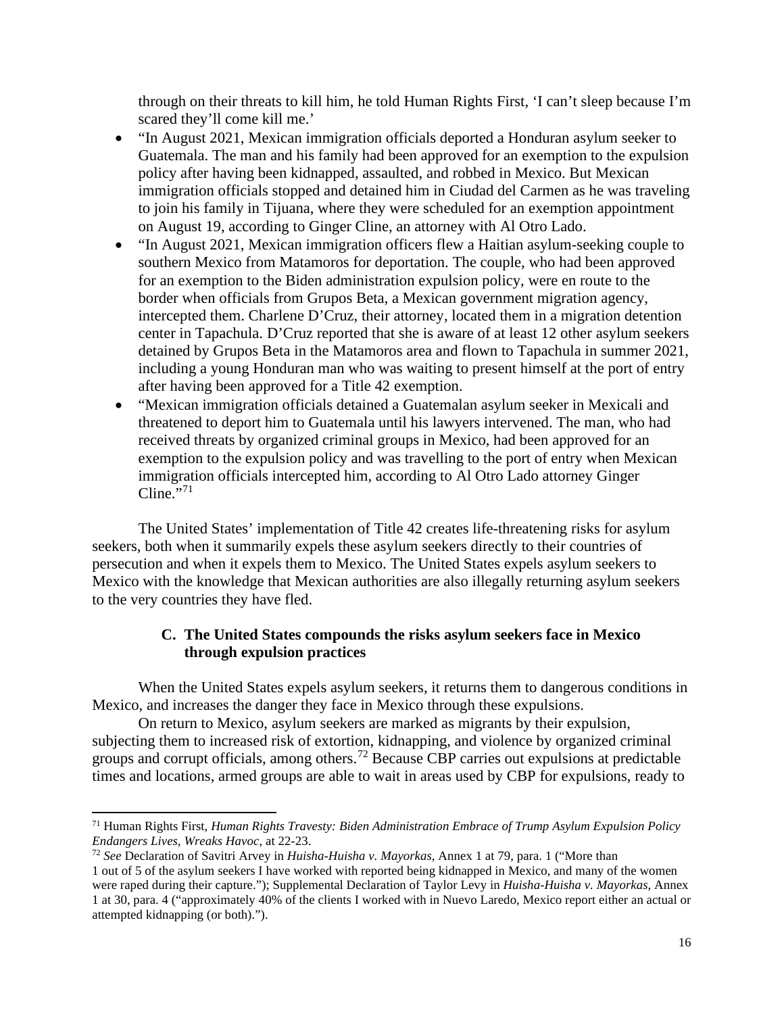through on their threats to kill him, he told Human Rights First, 'I can't sleep because I'm scared they'll come kill me.'

- "In August 2021, Mexican immigration officials deported a Honduran asylum seeker to Guatemala. The man and his family had been approved for an exemption to the expulsion policy after having been kidnapped, assaulted, and robbed in Mexico. But Mexican immigration officials stopped and detained him in Ciudad del Carmen as he was traveling to join his family in Tijuana, where they were scheduled for an exemption appointment on August 19, according to Ginger Cline, an attorney with Al Otro Lado.
- "In August 2021, Mexican immigration officers flew a Haitian asylum-seeking couple to southern Mexico from Matamoros for deportation. The couple, who had been approved for an exemption to the Biden administration expulsion policy, were en route to the border when officials from Grupos Beta, a Mexican government migration agency, intercepted them. Charlene D'Cruz, their attorney, located them in a migration detention center in Tapachula. D'Cruz reported that she is aware of at least 12 other asylum seekers detained by Grupos Beta in the Matamoros area and flown to Tapachula in summer 2021, including a young Honduran man who was waiting to present himself at the port of entry after having been approved for a Title 42 exemption.
- "Mexican immigration officials detained a Guatemalan asylum seeker in Mexicali and threatened to deport him to Guatemala until his lawyers intervened. The man, who had received threats by organized criminal groups in Mexico, had been approved for an exemption to the expulsion policy and was travelling to the port of entry when Mexican immigration officials intercepted him, according to Al Otro Lado attorney Ginger Cline." $71$

The United States' implementation of Title 42 creates life-threatening risks for asylum seekers, both when it summarily expels these asylum seekers directly to their countries of persecution and when it expels them to Mexico. The United States expels asylum seekers to Mexico with the knowledge that Mexican authorities are also illegally returning asylum seekers to the very countries they have fled.

## **C. The United States compounds the risks asylum seekers face in Mexico through expulsion practices**

<span id="page-18-0"></span>When the United States expels asylum seekers, it returns them to dangerous conditions in Mexico, and increases the danger they face in Mexico through these expulsions.

On return to Mexico, asylum seekers are marked as migrants by their expulsion, subjecting them to increased risk of extortion, kidnapping, and violence by organized criminal groups and corrupt officials, among others.[72](#page-18-2) Because CBP carries out expulsions at predictable times and locations, armed groups are able to wait in areas used by CBP for expulsions, ready to

<span id="page-18-1"></span><sup>71</sup> Human Rights First, *Human Rights Travesty: Biden Administration Embrace of Trump Asylum Expulsion Policy Endangers Lives, Wreaks Havoc*, at 22-23.

<span id="page-18-2"></span><sup>72</sup> *See* Declaration of Savitri Arvey in *Huisha-Huisha v. Mayorkas*, Annex 1 at 79, para. 1 ("More than 1 out of 5 of the asylum seekers I have worked with reported being kidnapped in Mexico, and many of the women were raped during their capture."); Supplemental Declaration of Taylor Levy in *Huisha-Huisha v. Mayorkas*, Annex 1 at 30, para. 4 ("approximately 40% of the clients I worked with in Nuevo Laredo, Mexico report either an actual or attempted kidnapping (or both).").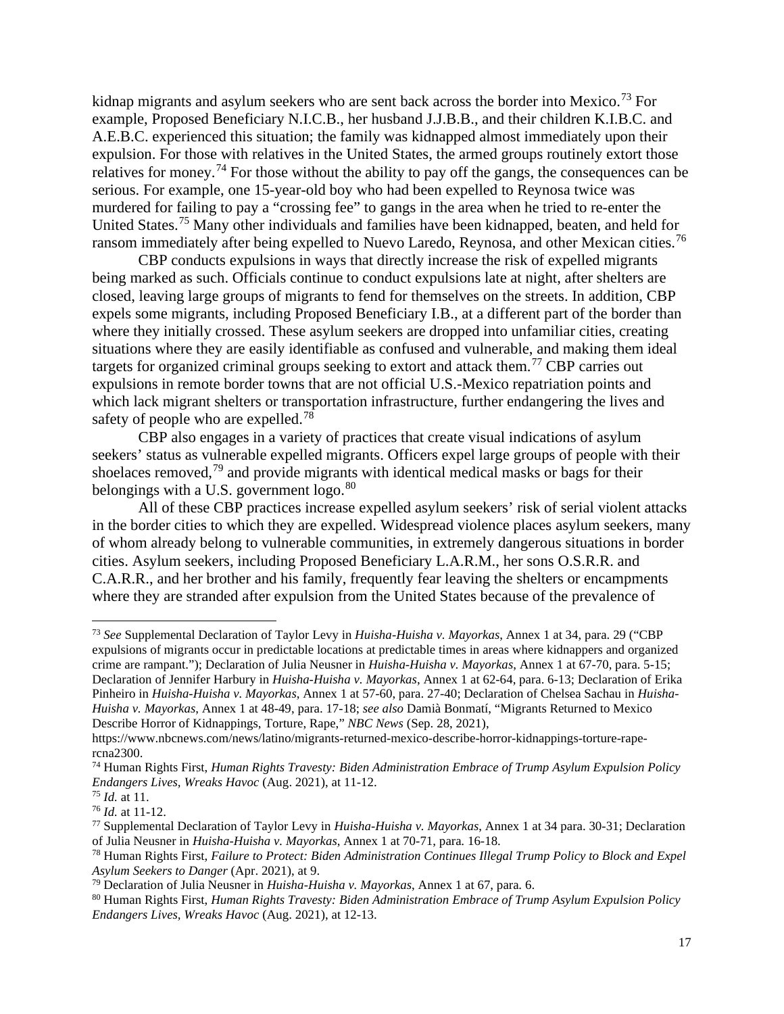kidnap migrants and asylum seekers who are sent back across the border into Mexico.<sup>[73](#page-19-0)</sup> For example, Proposed Beneficiary N.I.C.B., her husband J.J.B.B., and their children K.I.B.C. and A.E.B.C. experienced this situation; the family was kidnapped almost immediately upon their expulsion. For those with relatives in the United States, the armed groups routinely extort those relatives for money.<sup>[74](#page-19-1)</sup> For those without the ability to pay off the gangs, the consequences can be serious. For example, one 15-year-old boy who had been expelled to Reynosa twice was murdered for failing to pay a "crossing fee" to gangs in the area when he tried to re-enter the United States.<sup>[75](#page-19-2)</sup> Many other individuals and families have been kidnapped, beaten, and held for ransom immediately after being expelled to Nuevo Laredo, Reynosa, and other Mexican cities.<sup>[76](#page-19-3)</sup>

CBP conducts expulsions in ways that directly increase the risk of expelled migrants being marked as such. Officials continue to conduct expulsions late at night, after shelters are closed, leaving large groups of migrants to fend for themselves on the streets. In addition, CBP expels some migrants, including Proposed Beneficiary I.B., at a different part of the border than where they initially crossed. These asylum seekers are dropped into unfamiliar cities, creating situations where they are easily identifiable as confused and vulnerable, and making them ideal targets for organized criminal groups seeking to extort and attack them.<sup>[77](#page-19-4)</sup> CBP carries out expulsions in remote border towns that are not official U.S.-Mexico repatriation points and which lack migrant shelters or transportation infrastructure, further endangering the lives and safety of people who are expelled.<sup>[78](#page-19-5)</sup>

CBP also engages in a variety of practices that create visual indications of asylum seekers' status as vulnerable expelled migrants. Officers expel large groups of people with their shoelaces removed,<sup>[79](#page-19-6)</sup> and provide migrants with identical medical masks or bags for their belongings with a U.S. government  $\log_0$ .<sup>[80](#page-19-7)</sup>

All of these CBP practices increase expelled asylum seekers' risk of serial violent attacks in the border cities to which they are expelled. Widespread violence places asylum seekers, many of whom already belong to vulnerable communities, in extremely dangerous situations in border cities. Asylum seekers, including Proposed Beneficiary L.A.R.M., her sons O.S.R.R. and C.A.R.R., and her brother and his family, frequently fear leaving the shelters or encampments where they are stranded after expulsion from the United States because of the prevalence of

<span id="page-19-0"></span><sup>73</sup> *See* Supplemental Declaration of Taylor Levy in *Huisha-Huisha v. Mayorkas*, Annex 1 at 34, para. 29 ("CBP expulsions of migrants occur in predictable locations at predictable times in areas where kidnappers and organized crime are rampant."); Declaration of Julia Neusner in *Huisha-Huisha v. Mayorkas*, Annex 1 at 67-70, para. 5-15; Declaration of Jennifer Harbury in *Huisha-Huisha v. Mayorkas*, Annex 1 at 62-64, para. 6-13; Declaration of Erika Pinheiro in *Huisha-Huisha v. Mayorkas*, Annex 1 at 57-60, para. 27-40; Declaration of Chelsea Sachau in *Huisha-Huisha v. Mayorkas*, Annex 1 at 48-49, para. 17-18; *see also* Damià Bonmatí, "Migrants Returned to Mexico Describe Horror of Kidnappings, Torture, Rape," *NBC News* (Sep. 28, 2021),

https://www.nbcnews.com/news/latino/migrants-returned-mexico-describe-horror-kidnappings-torture-rapercna2300.

<span id="page-19-1"></span><sup>74</sup> Human Rights First, *Human Rights Travesty: Biden Administration Embrace of Trump Asylum Expulsion Policy Endangers Lives, Wreaks Havoc* (Aug. 2021), at 11-12.

<span id="page-19-2"></span><sup>75</sup> *Id.* at 11.

<span id="page-19-3"></span><sup>76</sup> *Id.* at 11-12.

<span id="page-19-4"></span><sup>77</sup> Supplemental Declaration of Taylor Levy in *Huisha-Huisha v. Mayorkas*, Annex 1 at 34 para. 30-31; Declaration of Julia Neusner in *Huisha-Huisha v. Mayorkas*, Annex 1 at 70-71, para. 16-18.

<span id="page-19-5"></span><sup>78</sup> Human Rights First, *Failure to Protect: Biden Administration Continues Illegal Trump Policy to Block and Expel Asylum Seekers to Danger* (Apr. 2021), at 9.

<span id="page-19-7"></span><span id="page-19-6"></span><sup>&</sup>lt;sup>80</sup> Human Rights First, *Human Rights Travesty: Biden Administration Embrace of Trump Asylum Expulsion Policy Endangers Lives, Wreaks Havoc* (Aug. 2021), at 12-13.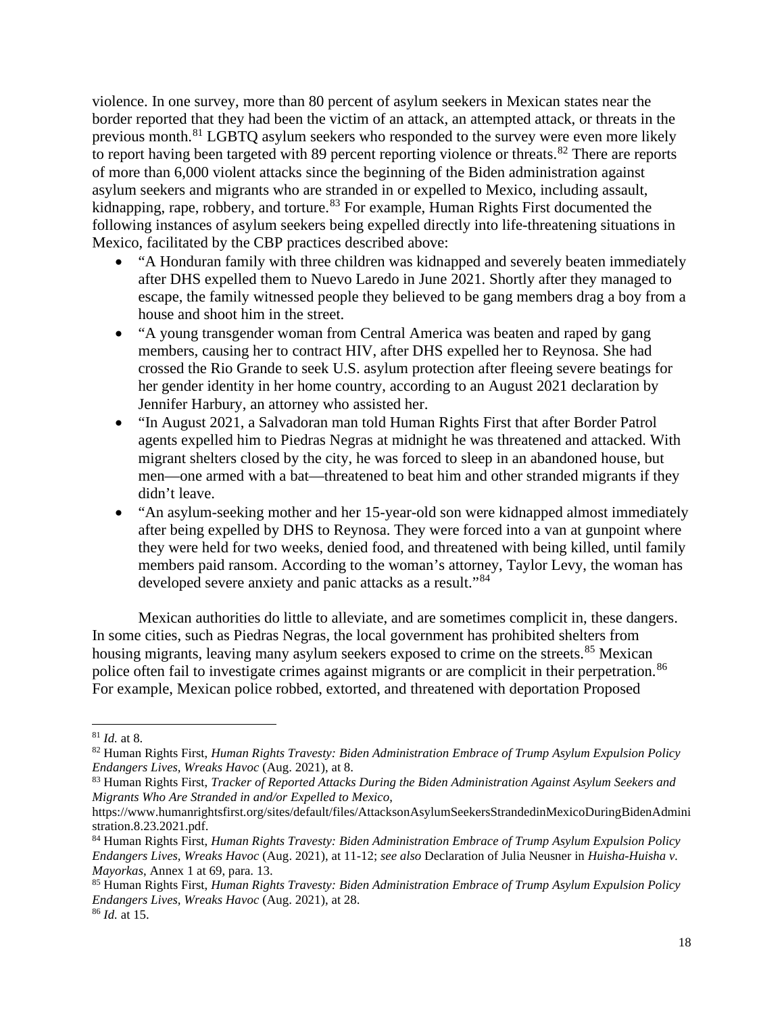violence. In one survey, more than 80 percent of asylum seekers in Mexican states near the border reported that they had been the victim of an attack, an attempted attack, or threats in the previous month.[81](#page-20-0) LGBTQ asylum seekers who responded to the survey were even more likely to report having been targeted with 89 percent reporting violence or threats.<sup>[82](#page-20-1)</sup> There are reports of more than 6,000 violent attacks since the beginning of the Biden administration against asylum seekers and migrants who are stranded in or expelled to Mexico, including assault, kidnapping, rape, robbery, and torture.<sup>[83](#page-20-2)</sup> For example, Human Rights First documented the following instances of asylum seekers being expelled directly into life-threatening situations in Mexico, facilitated by the CBP practices described above:

- "A Honduran family with three children was kidnapped and severely beaten immediately after DHS expelled them to Nuevo Laredo in June 2021. Shortly after they managed to escape, the family witnessed people they believed to be gang members drag a boy from a house and shoot him in the street.
- "A young transgender woman from Central America was beaten and raped by gang members, causing her to contract HIV, after DHS expelled her to Reynosa. She had crossed the Rio Grande to seek U.S. asylum protection after fleeing severe beatings for her gender identity in her home country, according to an August 2021 declaration by Jennifer Harbury, an attorney who assisted her.
- "In August 2021, a Salvadoran man told Human Rights First that after Border Patrol agents expelled him to Piedras Negras at midnight he was threatened and attacked. With migrant shelters closed by the city, he was forced to sleep in an abandoned house, but men—one armed with a bat—threatened to beat him and other stranded migrants if they didn't leave.
- "An asylum-seeking mother and her 15-year-old son were kidnapped almost immediately after being expelled by DHS to Reynosa. They were forced into a van at gunpoint where they were held for two weeks, denied food, and threatened with being killed, until family members paid ransom. According to the woman's attorney, Taylor Levy, the woman has developed severe anxiety and panic attacks as a result."<sup>[84](#page-20-3)</sup>

Mexican authorities do little to alleviate, and are sometimes complicit in, these dangers. In some cities, such as Piedras Negras, the local government has prohibited shelters from housing migrants, leaving many asylum seekers exposed to crime on the streets.<sup>[85](#page-20-4)</sup> Mexican police often fail to investigate crimes against migrants or are complicit in their perpetration.<sup>[86](#page-20-5)</sup> For example, Mexican police robbed, extorted, and threatened with deportation Proposed

<span id="page-20-0"></span><sup>81</sup> *Id.* at 8.

<span id="page-20-1"></span><sup>82</sup> Human Rights First, *Human Rights Travesty: Biden Administration Embrace of Trump Asylum Expulsion Policy Endangers Lives, Wreaks Havoc* (Aug. 2021), at 8.

<span id="page-20-2"></span><sup>83</sup> Human Rights First, *Tracker of Reported Attacks During the Biden Administration Against Asylum Seekers and Migrants Who Are Stranded in and/or Expelled to Mexico*,

https://www.humanrightsfirst.org/sites/default/files/AttacksonAsylumSeekersStrandedinMexicoDuringBidenAdmini stration.8.23.2021.pdf.

<span id="page-20-3"></span><sup>84</sup> Human Rights First, *Human Rights Travesty: Biden Administration Embrace of Trump Asylum Expulsion Policy Endangers Lives, Wreaks Havoc* (Aug. 2021), at 11-12; *see also* Declaration of Julia Neusner in *Huisha-Huisha v. Mayorkas*, Annex 1 at 69, para. 13.

<span id="page-20-5"></span><span id="page-20-4"></span><sup>85</sup> Human Rights First, *Human Rights Travesty: Biden Administration Embrace of Trump Asylum Expulsion Policy Endangers Lives, Wreaks Havoc* (Aug. 2021), at 28. <sup>86</sup> *Id.* at 15.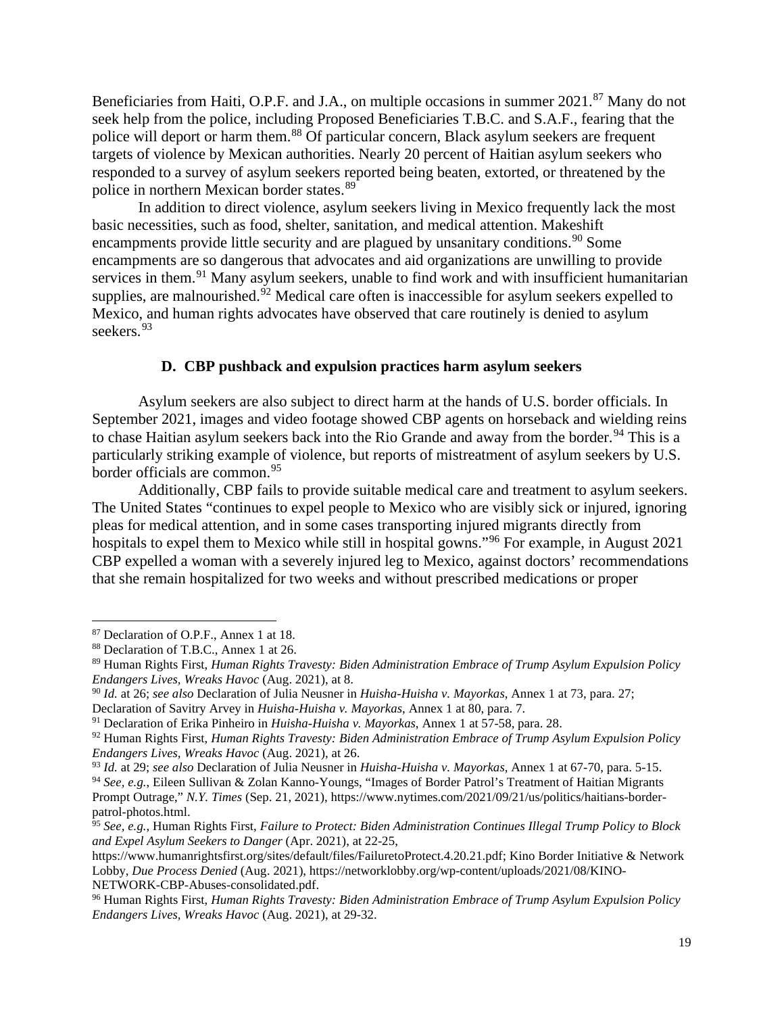Beneficiaries from Haiti, O.P.F. and J.A., on multiple occasions in summer 2021.<sup>[87](#page-21-1)</sup> Many do not seek help from the police, including Proposed Beneficiaries T.B.C. and S.A.F., fearing that the police will deport or harm them.<sup>[88](#page-21-2)</sup> Of particular concern, Black asylum seekers are frequent targets of violence by Mexican authorities. Nearly 20 percent of Haitian asylum seekers who responded to a survey of asylum seekers reported being beaten, extorted, or threatened by the police in northern Mexican border states.<sup>[89](#page-21-3)</sup>

In addition to direct violence, asylum seekers living in Mexico frequently lack the most basic necessities, such as food, shelter, sanitation, and medical attention. Makeshift encampments provide little security and are plagued by unsanitary conditions.<sup>[90](#page-21-4)</sup> Some encampments are so dangerous that advocates and aid organizations are unwilling to provide services in them.<sup>[91](#page-21-5)</sup> Many asylum seekers, unable to find work and with insufficient humanitarian supplies, are malnourished. $\frac{5}{2}$  Medical care often is inaccessible for asylum seekers expelled to Mexico, and human rights advocates have observed that care routinely is denied to asylum seekers.<sup>[93](#page-21-7)</sup>

### **D. CBP pushback and expulsion practices harm asylum seekers**

<span id="page-21-0"></span>Asylum seekers are also subject to direct harm at the hands of U.S. border officials. In September 2021, images and video footage showed CBP agents on horseback and wielding reins to chase Haitian asylum seekers back into the Rio Grande and away from the border.<sup>[94](#page-21-8)</sup> This is a particularly striking example of violence, but reports of mistreatment of asylum seekers by U.S. border officials are common.<sup>[95](#page-21-9)</sup>

Additionally, CBP fails to provide suitable medical care and treatment to asylum seekers. The United States "continues to expel people to Mexico who are visibly sick or injured, ignoring pleas for medical attention, and in some cases transporting injured migrants directly from hospitals to expel them to Mexico while still in hospital gowns."[96](#page-21-10) For example, in August 2021 CBP expelled a woman with a severely injured leg to Mexico, against doctors' recommendations that she remain hospitalized for two weeks and without prescribed medications or proper

<span id="page-21-1"></span><sup>87</sup> Declaration of O.P.F., Annex 1 at 18.

<span id="page-21-2"></span><sup>88</sup> Declaration of T.B.C., Annex 1 at 26.

<span id="page-21-3"></span><sup>89</sup> Human Rights First, *Human Rights Travesty: Biden Administration Embrace of Trump Asylum Expulsion Policy Endangers Lives, Wreaks Havoc* (Aug. 2021), at 8.

<span id="page-21-4"></span><sup>90</sup> *Id.* at 26; *see also* Declaration of Julia Neusner in *Huisha-Huisha v. Mayorkas*, Annex 1 at 73, para. 27;

Declaration of Savitry Arvey in *Huisha-Huisha v. Mayorkas*, Annex 1 at 80, para. 7.

<span id="page-21-5"></span><sup>91</sup> Declaration of Erika Pinheiro in *Huisha-Huisha v. Mayorkas*, Annex 1 at 57-58, para. 28.

<span id="page-21-6"></span><sup>92</sup> Human Rights First, *Human Rights Travesty: Biden Administration Embrace of Trump Asylum Expulsion Policy Endangers Lives, Wreaks Havoc* (Aug. 2021), at 26.

<span id="page-21-8"></span><span id="page-21-7"></span><sup>93</sup> *Id.* at 29; *see also* Declaration of Julia Neusner in *Huisha-Huisha v. Mayorkas*, Annex 1 at 67-70, para. 5-15. <sup>94</sup> *See, e.g.*, Eileen Sullivan & Zolan Kanno-Youngs, "Images of Border Patrol's Treatment of Haitian Migrants Prompt Outrage," *N.Y. Times* (Sep. 21, 2021), https://www.nytimes.com/2021/09/21/us/politics/haitians-borderpatrol-photos.html.

<span id="page-21-9"></span><sup>95</sup> *See, e.g.*, Human Rights First, *Failure to Protect: Biden Administration Continues Illegal Trump Policy to Block and Expel Asylum Seekers to Danger* (Apr. 2021), at 22-25,

[https://www.humanrightsfirst.org/sites/default/files/FailuretoProtect.4.20.21.pdf;](https://www.humanrightsfirst.org/sites/default/files/FailuretoProtect.4.20.21.pdf) Kino Border Initiative & Network Lobby, *Due Process Denied* (Aug. 2021), https://networklobby.org/wp-content/uploads/2021/08/KINO-NETWORK-CBP-Abuses-consolidated.pdf.

<span id="page-21-10"></span><sup>96</sup> Human Rights First, *Human Rights Travesty: Biden Administration Embrace of Trump Asylum Expulsion Policy Endangers Lives, Wreaks Havoc* (Aug. 2021), at 29-32.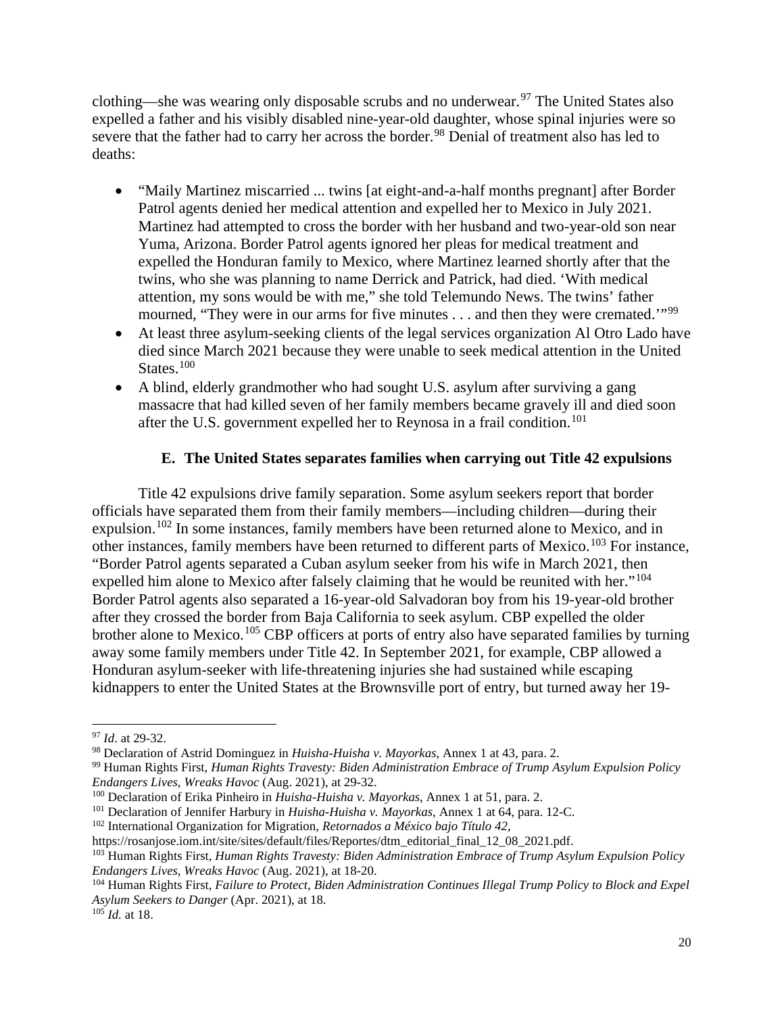clothing—she was wearing only disposable scrubs and no underwear.<sup>[97](#page-22-1)</sup> The United States also expelled a father and his visibly disabled nine-year-old daughter, whose spinal injuries were so severe that the father had to carry her across the border.<sup>[98](#page-22-2)</sup> Denial of treatment also has led to deaths:

- "Maily Martinez miscarried ... twins [at eight-and-a-half months pregnant] after Border Patrol agents denied her medical attention and expelled her to Mexico in July 2021. Martinez had attempted to cross the border with her husband and two-year-old son near Yuma, Arizona. Border Patrol agents ignored her pleas for medical treatment and expelled the Honduran family to Mexico, where Martinez learned shortly after that the twins, who she was planning to name Derrick and Patrick, had died. 'With medical attention, my sons would be with me," she told Telemundo News. The twins' father mourned, "They were in our arms for five minutes . . . and then they were cremated."<sup>[99](#page-22-3)</sup>
- At least three asylum-seeking clients of the legal services organization Al Otro Lado have died since March 2021 because they were unable to seek medical attention in the United States.<sup>[100](#page-22-4)</sup>
- A blind, elderly grandmother who had sought U.S. asylum after surviving a gang massacre that had killed seven of her family members became gravely ill and died soon after the U.S. government expelled her to Reynosa in a frail condition.<sup>[101](#page-22-5)</sup>

## **E. The United States separates families when carrying out Title 42 expulsions**

<span id="page-22-0"></span>Title 42 expulsions drive family separation. Some asylum seekers report that border officials have separated them from their family members—including children—during their expulsion.<sup>[102](#page-22-6)</sup> In some instances, family members have been returned alone to Mexico, and in other instances, family members have been returned to different parts of Mexico.<sup>[103](#page-22-7)</sup> For instance, "Border Patrol agents separated a Cuban asylum seeker from his wife in March 2021, then expelled him alone to Mexico after falsely claiming that he would be reunited with her."<sup>[104](#page-22-8)</sup> Border Patrol agents also separated a 16-year-old Salvadoran boy from his 19-year-old brother after they crossed the border from Baja California to seek asylum. CBP expelled the older brother alone to Mexico.<sup>[105](#page-22-9)</sup> CBP officers at ports of entry also have separated families by turning away some family members under Title 42. In September 2021, for example, CBP allowed a Honduran asylum-seeker with life-threatening injuries she had sustained while escaping kidnappers to enter the United States at the Brownsville port of entry, but turned away her 19-

<span id="page-22-1"></span><sup>97</sup> *Id*. at 29-32.

<span id="page-22-2"></span><sup>98</sup> Declaration of Astrid Dominguez in *Huisha-Huisha v. Mayorkas*, Annex 1 at 43, para. 2.

<span id="page-22-3"></span><sup>99</sup> Human Rights First, *Human Rights Travesty: Biden Administration Embrace of Trump Asylum Expulsion Policy Endangers Lives, Wreaks Havoc* (Aug. 2021), at 29-32.

<span id="page-22-4"></span><sup>100</sup> Declaration of Erika Pinheiro in *Huisha-Huisha v. Mayorkas*, Annex 1 at 51, para. 2.

<span id="page-22-5"></span><sup>101</sup> Declaration of Jennifer Harbury in *Huisha-Huisha v. Mayorkas*, Annex 1 at 64, para. 12-C.

<span id="page-22-6"></span><sup>102</sup> International Organization for Migration, *Retornados a México bajo Título 42*,

https://rosanjose.iom.int/site/sites/default/files/Reportes/dtm\_editorial\_final\_12\_08\_2021.pdf.

<span id="page-22-7"></span><sup>103</sup> Human Rights First, *Human Rights Travesty: Biden Administration Embrace of Trump Asylum Expulsion Policy Endangers Lives, Wreaks Havoc* (Aug. 2021), at 18-20.

<span id="page-22-8"></span><sup>104</sup> Human Rights First, *Failure to Protect, Biden Administration Continues Illegal Trump Policy to Block and Expel Asylum Seekers to Danger* (Apr. 2021), at 18.

<span id="page-22-9"></span> $105$  *Id.* at 18.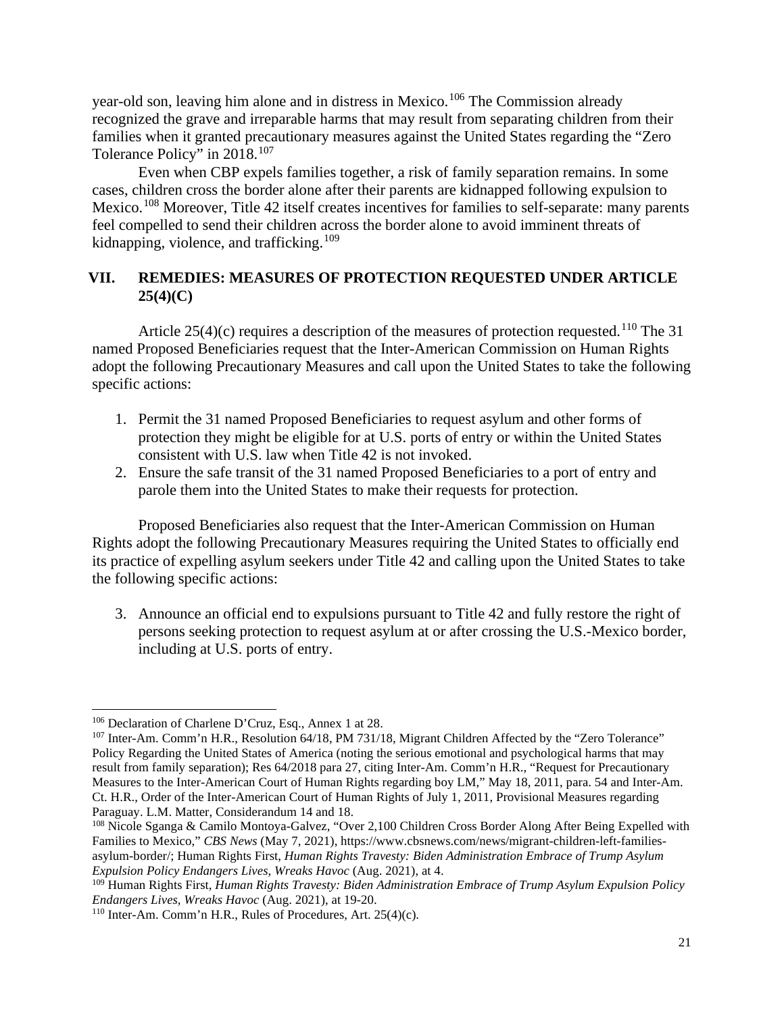year-old son, leaving him alone and in distress in Mexico.<sup>[106](#page-23-1)</sup> The Commission already recognized the grave and irreparable harms that may result from separating children from their families when it granted precautionary measures against the United States regarding the "Zero Tolerance Policy" in 2018.[107](#page-23-2)

Even when CBP expels families together, a risk of family separation remains. In some cases, children cross the border alone after their parents are kidnapped following expulsion to Mexico.<sup>[108](#page-23-3)</sup> Moreover, Title 42 itself creates incentives for families to self-separate: many parents feel compelled to send their children across the border alone to avoid imminent threats of kidnapping, violence, and trafficking.<sup>[109](#page-23-4)</sup>

## <span id="page-23-0"></span>**VII. REMEDIES: MEASURES OF PROTECTION REQUESTED UNDER ARTICLE 25(4)(C)**

Article 25(4)(c) requires a description of the measures of protection requested.<sup>[110](#page-23-5)</sup> The 31 named Proposed Beneficiaries request that the Inter-American Commission on Human Rights adopt the following Precautionary Measures and call upon the United States to take the following specific actions:

- 1. Permit the 31 named Proposed Beneficiaries to request asylum and other forms of protection they might be eligible for at U.S. ports of entry or within the United States consistent with U.S. law when Title 42 is not invoked.
- 2. Ensure the safe transit of the 31 named Proposed Beneficiaries to a port of entry and parole them into the United States to make their requests for protection.

Proposed Beneficiaries also request that the Inter-American Commission on Human Rights adopt the following Precautionary Measures requiring the United States to officially end its practice of expelling asylum seekers under Title 42 and calling upon the United States to take the following specific actions:

3. Announce an official end to expulsions pursuant to Title 42 and fully restore the right of persons seeking protection to request asylum at or after crossing the U.S.-Mexico border, including at U.S. ports of entry.

<span id="page-23-1"></span><sup>106</sup> Declaration of Charlene D'Cruz, Esq., Annex 1 at 28.

<span id="page-23-2"></span><sup>&</sup>lt;sup>107</sup> Inter-Am. Comm'n H.R., Resolution 64/18, PM 731/18, Migrant Children Affected by the "Zero Tolerance" Policy Regarding the United States of America (noting the serious emotional and psychological harms that may result from family separation); Res 64/2018 para 27, citing Inter-Am. Comm'n H.R., "Request for Precautionary Measures to the Inter-American Court of Human Rights regarding boy LM," May 18, 2011, para. 54 and Inter-Am. Ct. H.R., Order of the Inter-American Court of Human Rights of July 1, 2011, Provisional Measures regarding Paraguay. L.M. Matter, Considerandum 14 and 18.

<span id="page-23-3"></span><sup>108</sup> Nicole Sganga & Camilo Montoya-Galvez, "Over 2,100 Children Cross Border Along After Being Expelled with Families to Mexico," *CBS News* (May 7, 2021), https://www.cbsnews.com/news/migrant-children-left-familiesasylum-border/; Human Rights First, *Human Rights Travesty: Biden Administration Embrace of Trump Asylum Expulsion Policy Endangers Lives, Wreaks Havoc* (Aug. 2021), at 4.

<span id="page-23-4"></span><sup>109</sup> Human Rights First, *Human Rights Travesty: Biden Administration Embrace of Trump Asylum Expulsion Policy Endangers Lives, Wreaks Havoc* (Aug. 2021), at 19-20.

<span id="page-23-5"></span><sup>110</sup> Inter-Am. Comm'n H.R., Rules of Procedures, Art. 25(4)(c).